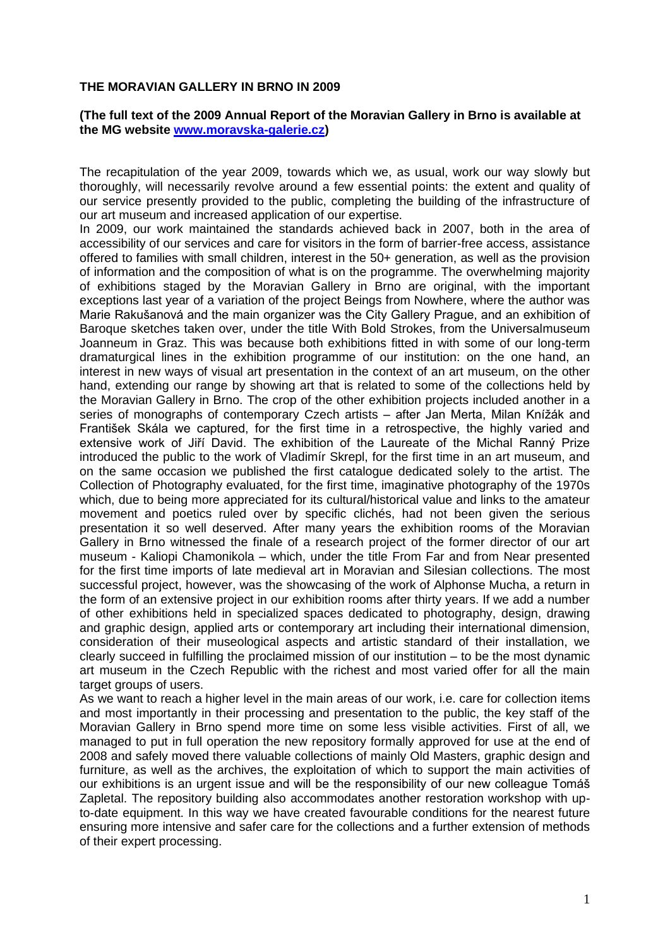## **THE MORAVIAN GALLERY IN BRNO IN 2009**

## **(The full text of the 2009 Annual Report of the Moravian Gallery in Brno is available at the MG website [www.moravska-galerie.cz\)](http://www.moravska-galerie.cz/)**

The recapitulation of the year 2009, towards which we, as usual, work our way slowly but thoroughly, will necessarily revolve around a few essential points: the extent and quality of our service presently provided to the public, completing the building of the infrastructure of our art museum and increased application of our expertise.

In 2009, our work maintained the standards achieved back in 2007, both in the area of accessibility of our services and care for visitors in the form of barrier-free access, assistance offered to families with small children, interest in the 50+ generation, as well as the provision of information and the composition of what is on the programme. The overwhelming majority of exhibitions staged by the Moravian Gallery in Brno are original, with the important exceptions last year of a variation of the project Beings from Nowhere, where the author was Marie Rakušanová and the main organizer was the City Gallery Prague, and an exhibition of Baroque sketches taken over, under the title With Bold Strokes, from the Universalmuseum Joanneum in Graz. This was because both exhibitions fitted in with some of our long-term dramaturgical lines in the exhibition programme of our institution: on the one hand, an interest in new ways of visual art presentation in the context of an art museum, on the other hand, extending our range by showing art that is related to some of the collections held by the Moravian Gallery in Brno. The crop of the other exhibition projects included another in a series of monographs of contemporary Czech artists – after Jan Merta, Milan Knížák and František Skála we captured, for the first time in a retrospective, the highly varied and extensive work of Jiří David. The exhibition of the Laureate of the Michal Ranný Prize introduced the public to the work of Vladimír Skrepl, for the first time in an art museum, and on the same occasion we published the first catalogue dedicated solely to the artist. The Collection of Photography evaluated, for the first time, imaginative photography of the 1970s which, due to being more appreciated for its cultural/historical value and links to the amateur movement and poetics ruled over by specific clichés, had not been given the serious presentation it so well deserved. After many years the exhibition rooms of the Moravian Gallery in Brno witnessed the finale of a research project of the former director of our art museum - Kaliopi Chamonikola – which, under the title From Far and from Near presented for the first time imports of late medieval art in Moravian and Silesian collections. The most successful project, however, was the showcasing of the work of Alphonse Mucha, a return in the form of an extensive project in our exhibition rooms after thirty years. If we add a number of other exhibitions held in specialized spaces dedicated to photography, design, drawing and graphic design, applied arts or contemporary art including their international dimension, consideration of their museological aspects and artistic standard of their installation, we clearly succeed in fulfilling the proclaimed mission of our institution – to be the most dynamic art museum in the Czech Republic with the richest and most varied offer for all the main target groups of users.

As we want to reach a higher level in the main areas of our work, i.e. care for collection items and most importantly in their processing and presentation to the public, the key staff of the Moravian Gallery in Brno spend more time on some less visible activities. First of all, we managed to put in full operation the new repository formally approved for use at the end of 2008 and safely moved there valuable collections of mainly Old Masters, graphic design and furniture, as well as the archives, the exploitation of which to support the main activities of our exhibitions is an urgent issue and will be the responsibility of our new colleague Tomáš Zapletal. The repository building also accommodates another restoration workshop with upto-date equipment. In this way we have created favourable conditions for the nearest future ensuring more intensive and safer care for the collections and a further extension of methods of their expert processing.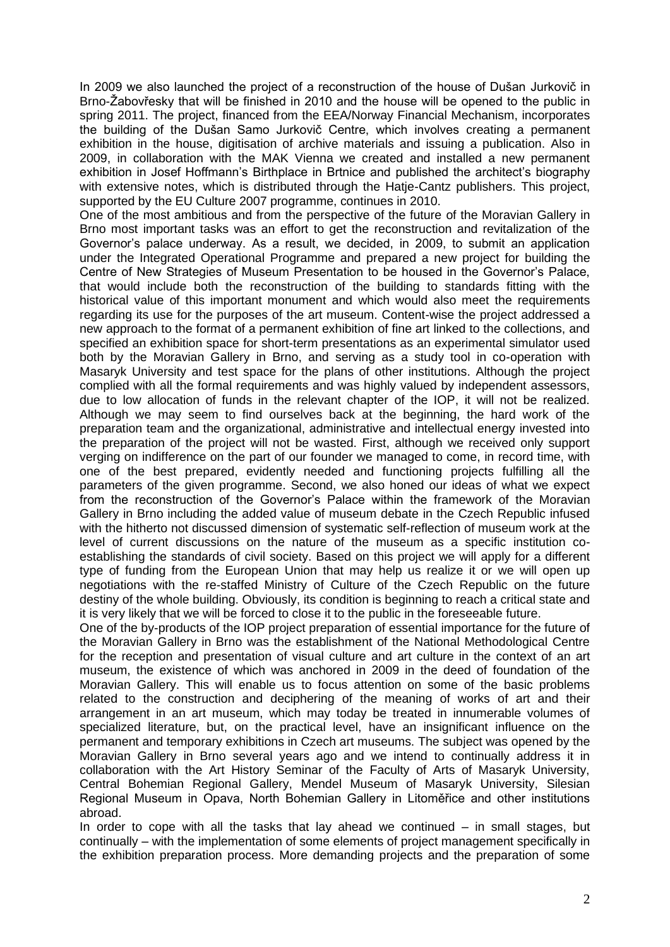In 2009 we also launched the project of a reconstruction of the house of Dušan Jurkovič in Brno-Žabovřesky that will be finished in 2010 and the house will be opened to the public in spring 2011. The project, financed from the EEA/Norway Financial Mechanism, incorporates the building of the Dušan Samo Jurkovič Centre, which involves creating a permanent exhibition in the house, digitisation of archive materials and issuing a publication. Also in 2009, in collaboration with the MAK Vienna we created and installed a new permanent exhibition in Josef Hoffmann's Birthplace in Brtnice and published the architect's biography with extensive notes, which is distributed through the Hatje-Cantz publishers. This project, supported by the EU Culture 2007 programme, continues in 2010.

One of the most ambitious and from the perspective of the future of the Moravian Gallery in Brno most important tasks was an effort to get the reconstruction and revitalization of the Governor's palace underway. As a result, we decided, in 2009, to submit an application under the Integrated Operational Programme and prepared a new project for building the Centre of New Strategies of Museum Presentation to be housed in the Governor's Palace, that would include both the reconstruction of the building to standards fitting with the historical value of this important monument and which would also meet the requirements regarding its use for the purposes of the art museum. Content-wise the project addressed a new approach to the format of a permanent exhibition of fine art linked to the collections, and specified an exhibition space for short-term presentations as an experimental simulator used both by the Moravian Gallery in Brno, and serving as a study tool in co-operation with Masaryk University and test space for the plans of other institutions. Although the project complied with all the formal requirements and was highly valued by independent assessors, due to low allocation of funds in the relevant chapter of the IOP, it will not be realized. Although we may seem to find ourselves back at the beginning, the hard work of the preparation team and the organizational, administrative and intellectual energy invested into the preparation of the project will not be wasted. First, although we received only support verging on indifference on the part of our founder we managed to come, in record time, with one of the best prepared, evidently needed and functioning projects fulfilling all the parameters of the given programme. Second, we also honed our ideas of what we expect from the reconstruction of the Governor's Palace within the framework of the Moravian Gallery in Brno including the added value of museum debate in the Czech Republic infused with the hitherto not discussed dimension of systematic self-reflection of museum work at the level of current discussions on the nature of the museum as a specific institution coestablishing the standards of civil society. Based on this project we will apply for a different type of funding from the European Union that may help us realize it or we will open up negotiations with the re-staffed Ministry of Culture of the Czech Republic on the future destiny of the whole building. Obviously, its condition is beginning to reach a critical state and it is very likely that we will be forced to close it to the public in the foreseeable future.

One of the by-products of the IOP project preparation of essential importance for the future of the Moravian Gallery in Brno was the establishment of the National Methodological Centre for the reception and presentation of visual culture and art culture in the context of an art museum, the existence of which was anchored in 2009 in the deed of foundation of the Moravian Gallery. This will enable us to focus attention on some of the basic problems related to the construction and deciphering of the meaning of works of art and their arrangement in an art museum, which may today be treated in innumerable volumes of specialized literature, but, on the practical level, have an insignificant influence on the permanent and temporary exhibitions in Czech art museums. The subject was opened by the Moravian Gallery in Brno several years ago and we intend to continually address it in collaboration with the Art History Seminar of the Faculty of Arts of Masaryk University, Central Bohemian Regional Gallery, Mendel Museum of Masaryk University, Silesian Regional Museum in Opava, North Bohemian Gallery in Litoměřice and other institutions abroad.

In order to cope with all the tasks that lay ahead we continued  $-$  in small stages, but continually – with the implementation of some elements of project management specifically in the exhibition preparation process. More demanding projects and the preparation of some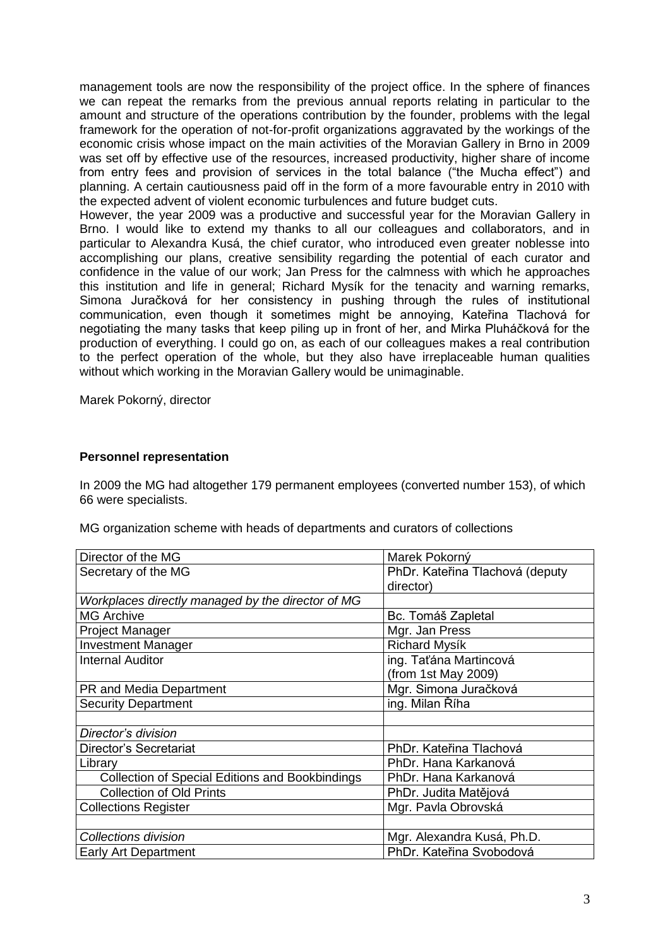management tools are now the responsibility of the project office. In the sphere of finances we can repeat the remarks from the previous annual reports relating in particular to the amount and structure of the operations contribution by the founder, problems with the legal framework for the operation of not-for-profit organizations aggravated by the workings of the economic crisis whose impact on the main activities of the Moravian Gallery in Brno in 2009 was set off by effective use of the resources, increased productivity, higher share of income from entry fees and provision of services in the total balance ("the Mucha effect") and planning. A certain cautiousness paid off in the form of a more favourable entry in 2010 with the expected advent of violent economic turbulences and future budget cuts.

However, the year 2009 was a productive and successful year for the Moravian Gallery in Brno. I would like to extend my thanks to all our colleagues and collaborators, and in particular to Alexandra Kusá, the chief curator, who introduced even greater noblesse into accomplishing our plans, creative sensibility regarding the potential of each curator and confidence in the value of our work; Jan Press for the calmness with which he approaches this institution and life in general; Richard Mysík for the tenacity and warning remarks, Simona Juračková for her consistency in pushing through the rules of institutional communication, even though it sometimes might be annoying, Kateřina Tlachová for negotiating the many tasks that keep piling up in front of her, and Mirka Pluháčková for the production of everything. I could go on, as each of our colleagues makes a real contribution to the perfect operation of the whole, but they also have irreplaceable human qualities without which working in the Moravian Gallery would be unimaginable.

Marek Pokorný, director

## **Personnel representation**

In 2009 the MG had altogether 179 permanent employees (converted number 153), of which 66 were specialists.

MG organization scheme with heads of departments and curators of collections

| Director of the MG                                     | Marek Pokorný                   |
|--------------------------------------------------------|---------------------------------|
| Secretary of the MG                                    | PhDr. Kateřina Tlachová (deputy |
|                                                        | director)                       |
| Workplaces directly managed by the director of MG      |                                 |
| <b>MG Archive</b>                                      | Bc. Tomáš Zapletal              |
| <b>Project Manager</b>                                 | Mgr. Jan Press                  |
| <b>Investment Manager</b>                              | <b>Richard Mysík</b>            |
| <b>Internal Auditor</b>                                | ing. Taťána Martincová          |
|                                                        | (from 1st May 2009)             |
| PR and Media Department                                | Mgr. Simona Juračková           |
| <b>Security Department</b>                             | ing. Milan Říha                 |
|                                                        |                                 |
| Director's division                                    |                                 |
| Director's Secretariat                                 | PhDr. Kateřina Tlachová         |
| Library                                                | PhDr. Hana Karkanová            |
| <b>Collection of Special Editions and Bookbindings</b> | PhDr. Hana Karkanová            |
| <b>Collection of Old Prints</b>                        | PhDr. Judita Matějová           |
| <b>Collections Register</b>                            | Mgr. Pavla Obrovská             |
|                                                        |                                 |
| Collections division                                   | Mgr. Alexandra Kusá, Ph.D.      |
| <b>Early Art Department</b>                            | PhDr. Kateřina Svobodová        |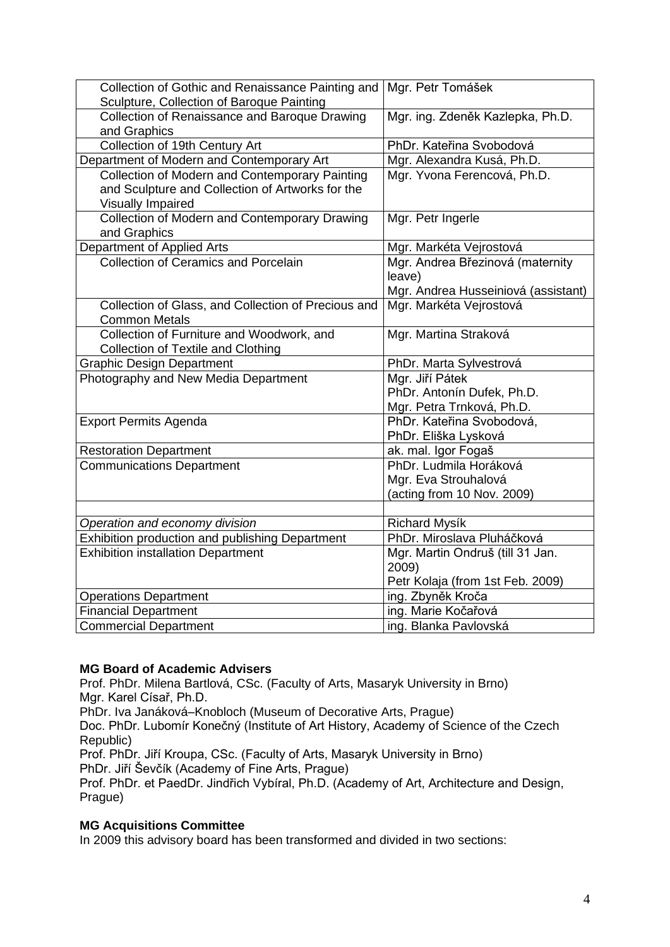| Collection of Gothic and Renaissance Painting and<br>Sculpture, Collection of Baroque Painting                          | Mgr. Petr Tomášek                                                                 |
|-------------------------------------------------------------------------------------------------------------------------|-----------------------------------------------------------------------------------|
| Collection of Renaissance and Baroque Drawing<br>and Graphics                                                           | Mgr. ing. Zdeněk Kazlepka, Ph.D.                                                  |
| Collection of 19th Century Art                                                                                          | PhDr. Kateřina Svobodová                                                          |
| Department of Modern and Contemporary Art                                                                               | Mgr. Alexandra Kusá, Ph.D.                                                        |
| Collection of Modern and Contemporary Painting<br>and Sculpture and Collection of Artworks for the<br>Visually Impaired | Mgr. Yvona Ferencová, Ph.D.                                                       |
| Collection of Modern and Contemporary Drawing<br>and Graphics                                                           | Mgr. Petr Ingerle                                                                 |
| Department of Applied Arts                                                                                              | Mgr. Markéta Vejrostová                                                           |
| <b>Collection of Ceramics and Porcelain</b>                                                                             | Mgr. Andrea Březinová (maternity<br>leave)<br>Mgr. Andrea Husseiniová (assistant) |
| Collection of Glass, and Collection of Precious and<br><b>Common Metals</b>                                             | Mgr. Markéta Vejrostová                                                           |
| Collection of Furniture and Woodwork, and<br><b>Collection of Textile and Clothing</b>                                  | Mgr. Martina Straková                                                             |
| <b>Graphic Design Department</b>                                                                                        | PhDr. Marta Sylvestrová                                                           |
| Photography and New Media Department                                                                                    | Mgr. Jiří Pátek<br>PhDr. Antonín Dufek, Ph.D.<br>Mgr. Petra Trnková, Ph.D.        |
| <b>Export Permits Agenda</b>                                                                                            | PhDr. Kateřina Svobodová,<br>PhDr. Eliška Lysková                                 |
| <b>Restoration Department</b>                                                                                           | ak. mal. Igor Fogaš                                                               |
| <b>Communications Department</b>                                                                                        | PhDr. Ludmila Horáková<br>Mgr. Eva Strouhalová<br>(acting from 10 Nov. 2009)      |
|                                                                                                                         |                                                                                   |
| Operation and economy division                                                                                          | <b>Richard Mysík</b>                                                              |
| Exhibition production and publishing Department                                                                         | PhDr. Miroslava Pluháčková                                                        |
| <b>Exhibition installation Department</b>                                                                               | Mgr. Martin Ondruš (till 31 Jan.<br>2009)<br>Petr Kolaja (from 1st Feb. 2009)     |
| <b>Operations Department</b>                                                                                            | ing. Zbyněk Kroča                                                                 |
| <b>Financial Department</b>                                                                                             | ing. Marie Kočařová                                                               |
| <b>Commercial Department</b>                                                                                            | ing. Blanka Pavlovská                                                             |

## **MG Board of Academic Advisers**

Prof. PhDr. Milena Bartlová, CSc. (Faculty of Arts, Masaryk University in Brno) Mgr. Karel Císař, Ph.D.

PhDr. Iva Janáková–Knobloch (Museum of Decorative Arts, Prague)

Doc. PhDr. Lubomír Konečný (Institute of Art History, Academy of Science of the Czech Republic)

Prof. PhDr. Jiří Kroupa, CSc. (Faculty of Arts, Masaryk University in Brno) PhDr. Jiří Ševčík (Academy of Fine Arts, Prague)

Prof. PhDr. et PaedDr. Jindřich Vybíral, Ph.D. (Academy of Art, Architecture and Design, Prague)

## **MG Acquisitions Committee**

In 2009 this advisory board has been transformed and divided in two sections: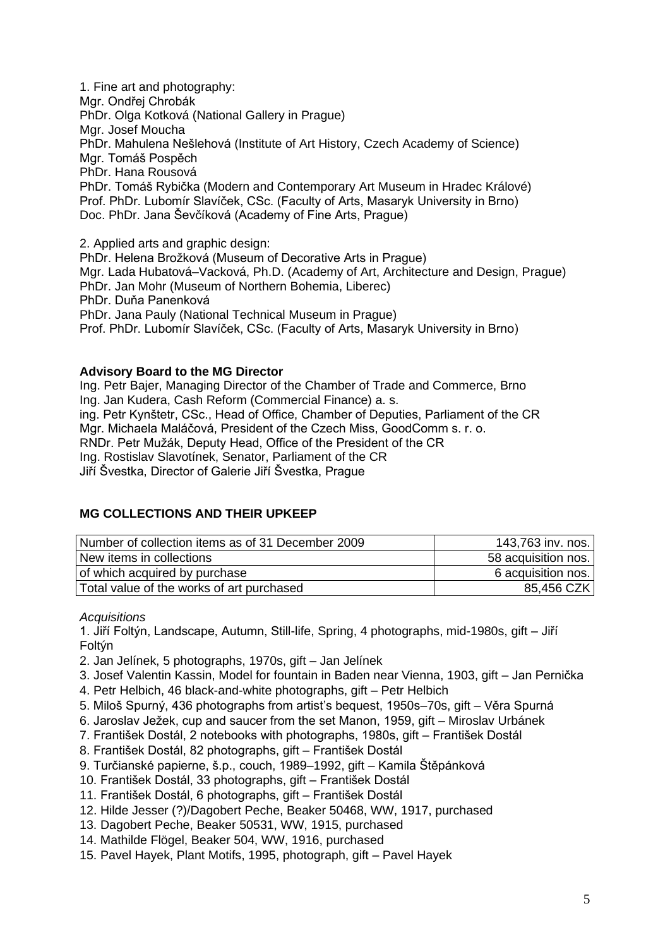1. Fine art and photography: Mgr. Ondřej Chrobák PhDr. Olga Kotková (National Gallery in Prague) Mgr. Josef Moucha PhDr. Mahulena Nešlehová (Institute of Art History, Czech Academy of Science) Mgr. Tomáš Pospěch PhDr. Hana Rousová PhDr. Tomáš Rybička (Modern and Contemporary Art Museum in Hradec Králové) Prof. PhDr. Lubomír Slavíček, CSc. (Faculty of Arts, Masaryk University in Brno) Doc. PhDr. Jana Ševčíková (Academy of Fine Arts, Prague)

2. Applied arts and graphic design:

PhDr. Helena Brožková (Museum of Decorative Arts in Prague) Mgr. Lada Hubatová–Vacková, Ph.D. (Academy of Art, Architecture and Design, Prague) PhDr. Jan Mohr (Museum of Northern Bohemia, Liberec) PhDr. Duňa Panenková PhDr. Jana Pauly (National Technical Museum in Prague) Prof. PhDr. Lubomír Slavíček, CSc. (Faculty of Arts, Masaryk University in Brno)

## **Advisory Board to the MG Director**

Ing. Petr Bajer, Managing Director of the Chamber of Trade and Commerce, Brno Ing. Jan Kudera, Cash Reform (Commercial Finance) a. s. ing. Petr Kynštetr, CSc., Head of Office, Chamber of Deputies, Parliament of the CR Mgr. Michaela Maláčová, President of the Czech Miss, GoodComm s. r. o. RNDr. Petr Mužák, Deputy Head, Office of the President of the CR Ing. Rostislav Slavotínek, Senator, Parliament of the CR Jiří Švestka, Director of Galerie Jiří Švestka, Prague

## **MG COLLECTIONS AND THEIR UPKEEP**

| Number of collection items as of 31 December 2009 | 143,763 inv. nos.   |
|---------------------------------------------------|---------------------|
| New items in collections                          | 58 acquisition nos. |
| of which acquired by purchase                     | 6 acquisition nos.  |
| Total value of the works of art purchased         | 85,456 CZK          |

*Acquisitions* 

1. Jiří Foltýn, Landscape, Autumn, Still-life, Spring, 4 photographs, mid-1980s, gift – Jiří Foltýn

2. Jan Jelínek, 5 photographs, 1970s, gift – Jan Jelínek

- 3. Josef Valentin Kassin, Model for fountain in Baden near Vienna, 1903, gift Jan Pernička
- 4. Petr Helbich, 46 black-and-white photographs, gift Petr Helbich
- 5. Miloš Spurný, 436 photographs from artist's bequest, 1950s–70s, gift Věra Spurná
- 6. Jaroslav Ježek, cup and saucer from the set Manon, 1959, gift Miroslav Urbánek
- 7. František Dostál, 2 notebooks with photographs, 1980s, gift František Dostál
- 8. František Dostál, 82 photographs, gift František Dostál
- 9. Turčianské papierne, š.p., couch, 1989–1992, gift Kamila Štěpánková
- 10. František Dostál, 33 photographs, gift František Dostál
- 11. František Dostál, 6 photographs, gift František Dostál
- 12. Hilde Jesser (?)/Dagobert Peche, Beaker 50468, WW, 1917, purchased
- 13. Dagobert Peche, Beaker 50531, WW, 1915, purchased
- 14. Mathilde Flögel, Beaker 504, WW, 1916, purchased
- 15. Pavel Hayek, Plant Motifs, 1995, photograph, gift Pavel Hayek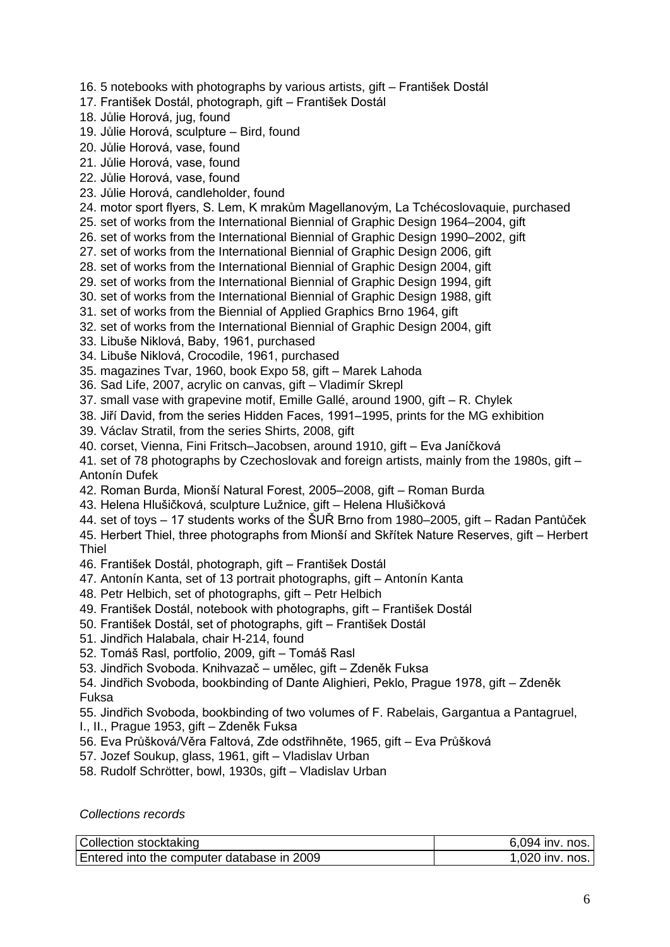- 16. 5 notebooks with photographs by various artists, gift František Dostál
- 17. František Dostál, photograph, gift František Dostál
- 18. Jůlie Horová, jug, found
- 19. Jůlie Horová, sculpture Bird, found
- 20. Jůlie Horová, vase, found
- 21. Jůlie Horová, vase, found
- 22. Jůlie Horová, vase, found
- 23. Jůlie Horová, candleholder, found
- 24. motor sport flyers, S. Lem, K mrakům Magellanovým, La Tchécoslovaquie, purchased
- 25. set of works from the International Biennial of Graphic Design 1964–2004, gift
- 26. set of works from the International Biennial of Graphic Design 1990–2002, gift
- 27. set of works from the International Biennial of Graphic Design 2006, gift
- 28. set of works from the International Biennial of Graphic Design 2004, gift
- 29. set of works from the International Biennial of Graphic Design 1994, gift
- 30. set of works from the International Biennial of Graphic Design 1988, gift
- 31. set of works from the Biennial of Applied Graphics Brno 1964, gift
- 32. set of works from the International Biennial of Graphic Design 2004, gift
- 33. Libuše Niklová, Baby, 1961, purchased
- 34. Libuše Niklová, Crocodile, 1961, purchased
- 35. magazines Tvar, 1960, book Expo 58, gift Marek Lahoda
- 36. Sad Life, 2007, acrylic on canvas, gift Vladimír Skrepl
- 37. small vase with grapevine motif, Emille Gallé, around 1900, gift R. Chylek
- 38. Jiří David, from the series Hidden Faces, 1991–1995, prints for the MG exhibition
- 39. Václav Stratil, from the series Shirts, 2008, gift
- 40. corset, Vienna, Fini Fritsch–Jacobsen, around 1910, gift Eva Janíčková
- 41. set of 78 photographs by Czechoslovak and foreign artists, mainly from the 1980s, gift Antonín Dufek
- 42. Roman Burda, Mionší Natural Forest, 2005–2008, gift Roman Burda
- 43. Helena Hlušičková, sculpture Lužnice, gift Helena Hlušičková
- 44. set of toys 17 students works of the ŠUŘ Brno from 1980–2005, gift Radan Pantůček 45. Herbert Thiel, three photographs from Mionší and Skřítek Nature Reserves, gift – Herbert
- Thiel
- 46. František Dostál, photograph, gift František Dostál
- 47. Antonín Kanta, set of 13 portrait photographs, gift Antonín Kanta
- 48. Petr Helbich, set of photographs, gift Petr Helbich
- 49. František Dostál, notebook with photographs, gift František Dostál
- 50. František Dostál, set of photographs, gift František Dostál
- 51. Jindřich Halabala, chair H-214, found
- 52. Tomáš Rasl, portfolio, 2009, gift Tomáš Rasl
- 53. Jindřich Svoboda. Knihvazač umělec, gift Zdeněk Fuksa
- 54. Jindřich Svoboda, bookbinding of Dante Alighieri, Peklo, Prague 1978, gift Zdeněk Fuksa

55. Jindřich Svoboda, bookbinding of two volumes of F. Rabelais, Gargantua a Pantagruel, I., II., Prague 1953, gift – Zdeněk Fuksa

- 56. Eva Průšková/Věra Faltová, Zde odstřihněte, 1965, gift Eva Průšková
- 57. Jozef Soukup, glass, 1961, gift Vladislav Urban
- 58. Rudolf Schrötter, bowl, 1930s, gift Vladislav Urban

*Collections records*

| Collection stocktaking                     | 6,094 inv. nos. |
|--------------------------------------------|-----------------|
| Entered into the computer database in 2009 | 1,020 inv. nos. |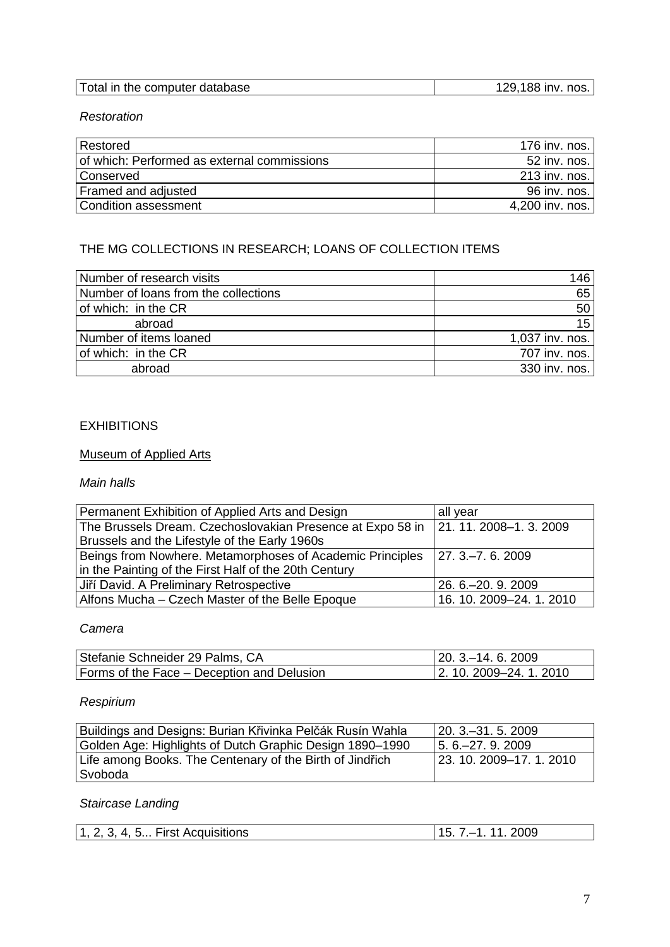| Total in the computer database | 129,188 inv. nos. |
|--------------------------------|-------------------|

## *Restoration*

| Restored                                    | 176 inv. nos.   |
|---------------------------------------------|-----------------|
| of which: Performed as external commissions | 52 inv. nos.    |
| <b>Conserved</b>                            | 213 inv. nos.   |
| Framed and adjusted                         | 96 inv. nos.    |
| Condition assessment                        | 4,200 inv. nos. |

# THE MG COLLECTIONS IN RESEARCH; LOANS OF COLLECTION ITEMS

| Number of research visits            | 146             |
|--------------------------------------|-----------------|
| Number of loans from the collections | 65              |
| of which: in the CR                  | 50              |
| abroad                               | 15              |
| Number of items loaned               | 1,037 inv. nos. |
| of which: in the CR                  | 707 inv. nos.   |
| abroad                               | 330 inv. nos.   |

# **EXHIBITIONS**

# Museum of Applied Arts

## *Main halls*

| Permanent Exhibition of Applied Arts and Design                                            | all year                 |
|--------------------------------------------------------------------------------------------|--------------------------|
| The Brussels Dream. Czechoslovakian Presence at Expo 58 in $\vert$ 21. 11. 2008–1. 3. 2009 |                          |
| Brussels and the Lifestyle of the Early 1960s                                              |                          |
| Beings from Nowhere. Metamorphoses of Academic Principles                                  | $ 27.3-7.6.2009$         |
| in the Painting of the First Half of the 20th Century                                      |                          |
| Jiří David. A Preliminary Retrospective                                                    | 26. 6. - 20. 9. 2009     |
| Alfons Mucha – Czech Master of the Belle Epoque                                            | 16. 10. 2009-24. 1. 2010 |

## *Camera*

| Stefanie Schneider 29 Palms, CA            | $\mid$ 20. 3 – 14. 6. 2009 |
|--------------------------------------------|----------------------------|
| Forms of the Face – Deception and Delusion | 2. 10. 2009–24. 1. 2010    |

# *Respirium*

| Buildings and Designs: Burian Křivinka Pelčák Rusín Wahla | $ 20.3 - 31.5.2009$      |
|-----------------------------------------------------------|--------------------------|
| Golden Age: Highlights of Dutch Graphic Design 1890-1990  | l 5. 6.–27. 9. 2009      |
| Life among Books. The Centenary of the Birth of Jindřich  | 23. 10. 2009–17. 1. 2010 |
| Svoboda                                                   |                          |

# *Staircase Landing*

| 2009<br>l 1<br>Acquisitions<br>$\overline{A}$<br>2<br>Δ<br>. |
|--------------------------------------------------------------|
|--------------------------------------------------------------|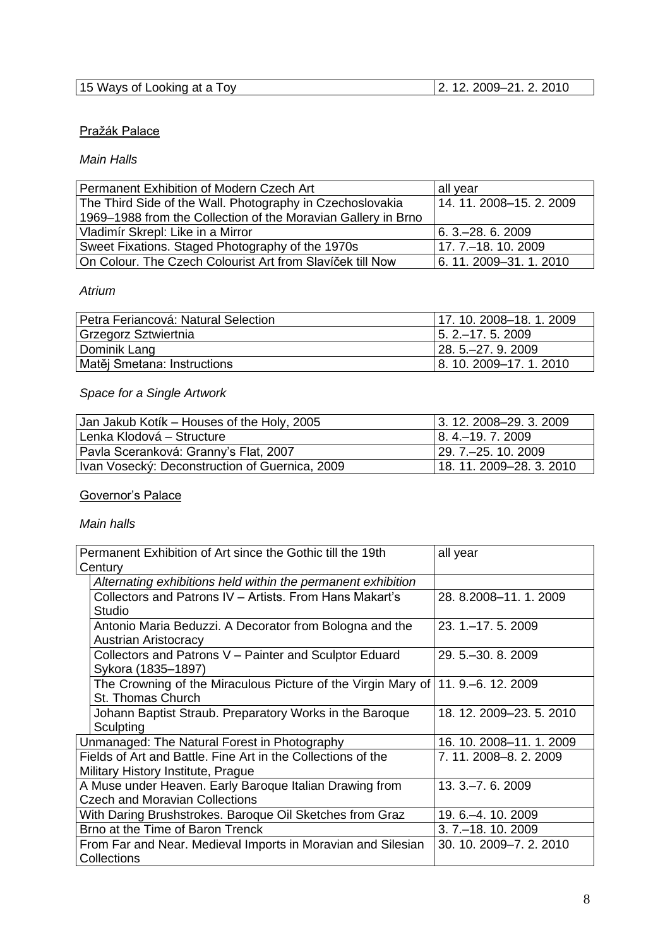| 15 Ways of Looking at a Toy | 2010<br>ົດ4<br>ാ∩∩ഘ. |
|-----------------------------|----------------------|

# Pražák Palace

## *Main Halls*

| Permanent Exhibition of Modern Czech Art                      | all year                 |  |
|---------------------------------------------------------------|--------------------------|--|
| The Third Side of the Wall. Photography in Czechoslovakia     | 14. 11. 2008–15. 2. 2009 |  |
| 1969-1988 from the Collection of the Moravian Gallery in Brno |                          |  |
| Vladimír Skrepl: Like in a Mirror                             | $6.3 - 28.62009$         |  |
| Sweet Fixations. Staged Photography of the 1970s              | 17. 7.–18. 10. 2009      |  |
| On Colour. The Czech Colourist Art from Slavíček till Now     | 6.11.2009-31.1.2010      |  |

# *Atrium*

| Petra Feriancová: Natural Selection | 17.10.2008-18.1.2009    |
|-------------------------------------|-------------------------|
| Grzegorz Sztwiertnia                | $15.2 - 17.5.2009$      |
| Dominik Lang                        | $128.5 - 27.9.2009$     |
| Matěj Smetana: Instructions         | 8. 10. 2009-17. 1. 2010 |

# *Space for a Single Artwork*

| Jan Jakub Kotik - Houses of the Holy, 2005     | $ 3.12.2008 - 29.3.2009$   |
|------------------------------------------------|----------------------------|
| Lenka Klodová – Structure                      | 8. 4.–19. 7. 2009          |
| Pavla Sceranková: Granny's Flat, 2007          | 129. 7.–25. 10. 2009       |
| Ivan Vosecký: Deconstruction of Guernica, 2009 | l 18. 11. 2009–28. 3. 2010 |

# Governor's Palace

# *Main halls*

| Permanent Exhibition of Art since the Gothic till the 19th                        | all year                 |
|-----------------------------------------------------------------------------------|--------------------------|
| Century                                                                           |                          |
| Alternating exhibitions held within the permanent exhibition                      |                          |
| Collectors and Patrons IV - Artists, From Hans Makart's                           | 28. 8.2008-11. 1. 2009   |
| Studio                                                                            |                          |
| Antonio Maria Beduzzi. A Decorator from Bologna and the                           | $23.1 - 17.5.2009$       |
| <b>Austrian Aristocracy</b>                                                       |                          |
| Collectors and Patrons V - Painter and Sculptor Eduard                            | 29.5 . - 30.8.2009       |
| Sykora (1835–1897)                                                                |                          |
| The Crowning of the Miraculous Picture of the Virgin Mary of   11. 9.–6. 12. 2009 |                          |
| St. Thomas Church                                                                 |                          |
| Johann Baptist Straub. Preparatory Works in the Baroque                           | 18. 12. 2009–23. 5. 2010 |
| Sculpting                                                                         |                          |
| Unmanaged: The Natural Forest in Photography                                      | 16. 10. 2008–11. 1. 2009 |
| Fields of Art and Battle. Fine Art in the Collections of the                      | 7.11.2008-8.2.2009       |
| Military History Institute, Prague                                                |                          |
| A Muse under Heaven. Early Baroque Italian Drawing from                           | 13. 3. - 7. 6. 2009      |
| <b>Czech and Moravian Collections</b>                                             |                          |
| With Daring Brushstrokes. Baroque Oil Sketches from Graz                          | 19. 6. - 4. 10. 2009     |
| Brno at the Time of Baron Trenck                                                  | $3.7 - 18.10.2009$       |
| From Far and Near. Medieval Imports in Moravian and Silesian                      | 30. 10. 2009-7. 2. 2010  |
| Collections                                                                       |                          |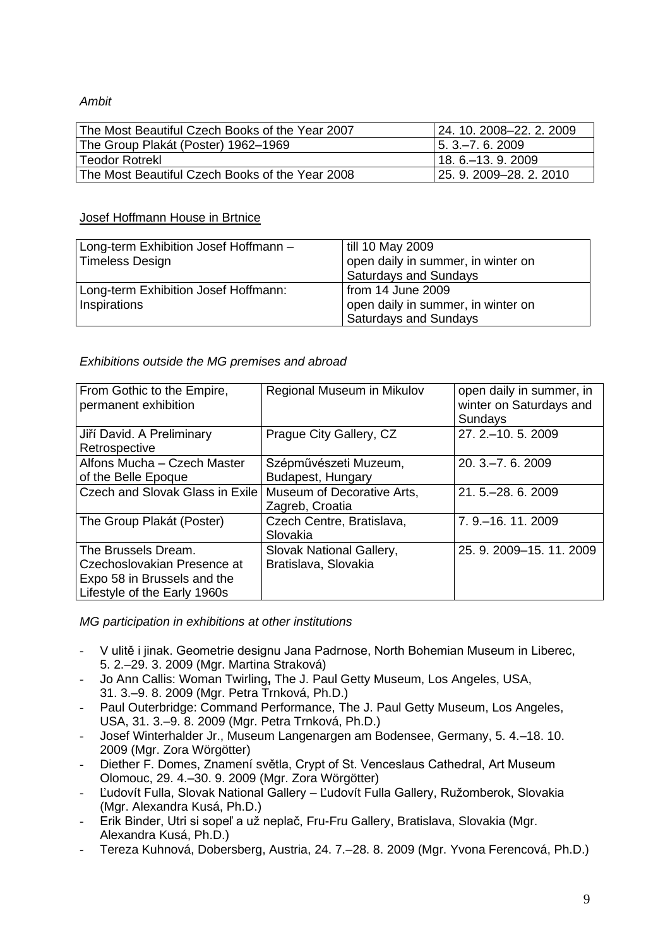## *Ambit*

| The Most Beautiful Czech Books of the Year 2007 | 124, 10, 2008–22, 2, 2009 |
|-------------------------------------------------|---------------------------|
| The Group Plakát (Poster) 1962–1969             | $15.3 - 7.6.2009$         |
| <b>Teodor Rotrekl</b>                           | $18.6 - 13.9.2009$        |
| The Most Beautiful Czech Books of the Year 2008 | 25. 9. 2009–28. 2. 2010   |

## Josef Hoffmann House in Brtnice

| Long-term Exhibition Josef Hoffmann - | till 10 May 2009                   |
|---------------------------------------|------------------------------------|
| <b>Timeless Design</b>                | open daily in summer, in winter on |
|                                       | <b>Saturdays and Sundays</b>       |
| Long-term Exhibition Josef Hoffmann:  | from 14 June 2009                  |
| Inspirations                          | open daily in summer, in winter on |
|                                       | <b>Saturdays and Sundays</b>       |

# *Exhibitions outside the MG premises and abroad*

| From Gothic to the Empire,<br>permanent exhibition                                                                | Regional Museum in Mikulov                       | open daily in summer, in<br>winter on Saturdays and<br>Sundays |
|-------------------------------------------------------------------------------------------------------------------|--------------------------------------------------|----------------------------------------------------------------|
| Jiří David. A Preliminary<br>Retrospective                                                                        | Prague City Gallery, CZ                          | 27. 2. - 10. 5. 2009                                           |
| Alfons Mucha - Czech Master<br>of the Belle Epoque                                                                | Szépművészeti Muzeum,<br>Budapest, Hungary       | $20.3 - 7.6.2009$                                              |
| <b>Czech and Slovak Glass in Exile</b>                                                                            | Museum of Decorative Arts,<br>Zagreb, Croatia    | 21, 5, -28, 6, 2009                                            |
| The Group Plakát (Poster)                                                                                         | Czech Centre, Bratislava,<br>Slovakia            | 7. 9. - 16. 11. 2009                                           |
| The Brussels Dream.<br>Czechoslovakian Presence at<br>Expo 58 in Brussels and the<br>Lifestyle of the Early 1960s | Slovak National Gallery,<br>Bratislava, Slovakia | 25. 9. 2009-15. 11. 2009                                       |

*MG participation in exhibitions at other institutions*

- V ulitě i jinak. Geometrie designu Jana Padrnose, North Bohemian Museum in Liberec, 5. 2.–29. 3. 2009 (Mgr. Martina Straková)
- Jo Ann Callis: Woman Twirling**,** The J. Paul Getty Museum, Los Angeles, USA, 31. 3.–9. 8. 2009 (Mgr. Petra Trnková, Ph.D.)
- Paul Outerbridge: Command Performance, The J. Paul Getty Museum, Los Angeles, USA, 31. 3.–9. 8. 2009 (Mgr. Petra Trnková, Ph.D.)
- Josef Winterhalder Jr., Museum Langenargen am Bodensee, Germany, 5. 4.–18. 10. 2009 (Mgr. Zora Wörgötter)
- Diether F. Domes, Znamení světla, Crypt of St. Venceslaus Cathedral, Art Museum Olomouc, 29. 4.–30. 9. 2009 (Mgr. Zora Wörgötter)
- Ľudovít Fulla, Slovak National Gallery Ľudovít Fulla Gallery, Ružomberok, Slovakia (Mgr. Alexandra Kusá, Ph.D.)
- Erik Binder, Utri si sopeľ a už neplač, Fru-Fru Gallery, Bratislava, Slovakia (Mgr. Alexandra Kusá, Ph.D.)
- Tereza Kuhnová, Dobersberg, Austria, 24. 7.–28. 8. 2009 (Mgr. Yvona Ferencová, Ph.D.)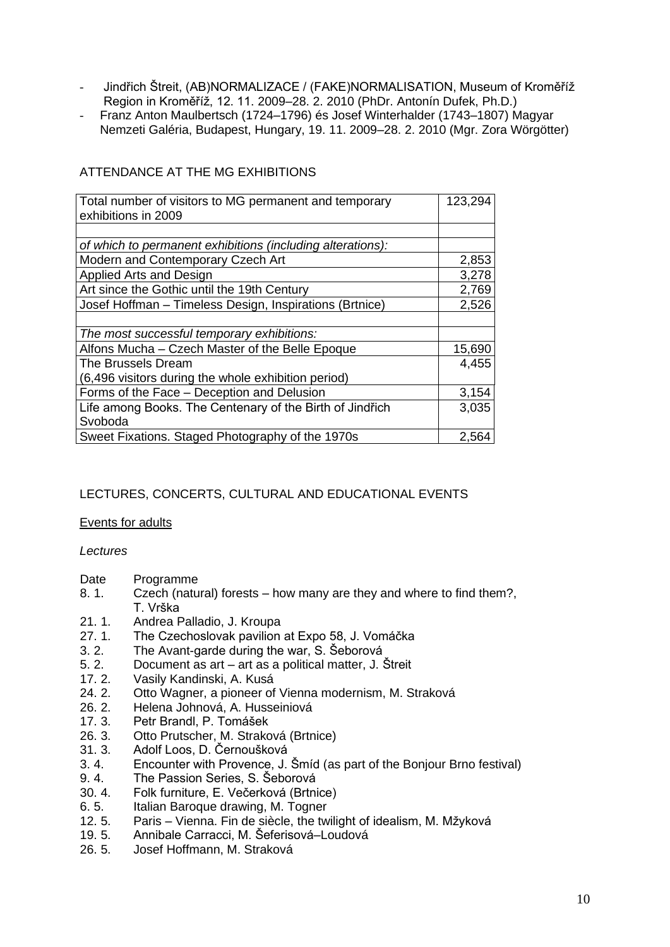- Jindřich Štreit, (AB)NORMALIZACE / (FAKE)NORMALISATION, Museum of Kroměříž Region in Kroměříž, 12. 11. 2009–28. 2. 2010 (PhDr. Antonín Dufek, Ph.D.)
- Franz Anton Maulbertsch (1724–1796) és Josef Winterhalder (1743–1807) Magyar Nemzeti Galéria, Budapest, Hungary, 19. 11. 2009–28. 2. 2010 (Mgr. Zora Wörgötter)

| Total number of visitors to MG permanent and temporary     | 123,294 |
|------------------------------------------------------------|---------|
| exhibitions in 2009                                        |         |
|                                                            |         |
| of which to permanent exhibitions (including alterations): |         |
| Modern and Contemporary Czech Art                          | 2,853   |
| Applied Arts and Design                                    | 3,278   |
| Art since the Gothic until the 19th Century                | 2,769   |
| Josef Hoffman - Timeless Design, Inspirations (Brtnice)    | 2,526   |
|                                                            |         |
| The most successful temporary exhibitions:                 |         |
| Alfons Mucha - Czech Master of the Belle Epoque            | 15,690  |
| The Brussels Dream                                         | 4,455   |
| (6,496 visitors during the whole exhibition period)        |         |
| Forms of the Face - Deception and Delusion                 | 3,154   |
| Life among Books. The Centenary of the Birth of Jindřich   | 3,035   |
| Svoboda                                                    |         |
| Sweet Fixations. Staged Photography of the 1970s           | 2,564   |

## ATTENDANCE AT THE MG EXHIBITIONS

## LECTURES, CONCERTS, CULTURAL AND EDUCATIONAL EVENTS

## Events for adults

*Lectures*

- Date Programme
- 8. 1. Czech (natural) forests how many are they and where to find them?, T. Vrška
- 21. 1. Andrea Palladio, J. Kroupa
- 27. 1. The Czechoslovak pavilion at Expo 58, J. Vomáčka
- 3. 2. The Avant-garde during the war, S. Šeborová
- 5. 2. Document as art art as a political matter, J. Štreit
- 17. 2. Vasily Kandinski, A. Kusá
- 24. 2. Otto Wagner, a pioneer of Vienna modernism, M. Straková
- 26. 2. Helena Johnová, A. Husseiniová
- 17. 3. Petr Brandl, P. Tomášek
- 26. 3. Otto Prutscher, M. Straková (Brtnice)
- 31. 3. Adolf Loos, D. Černoušková
- 3. 4. Encounter with Provence, J. Šmíd (as part of the Bonjour Brno festival)
- 9. 4. The Passion Series, S. Šeborová
- 30. 4. Folk furniture, E. Večerková (Brtnice)
- 6. 5. Italian Baroque drawing, M. Togner
- 12. 5. Paris Vienna. Fin de siècle, the twilight of idealism, M. Mžyková
- 19. 5. Annibale Carracci, M. Šeferisová–Loudová
- 26. 5. Josef Hoffmann, M. Straková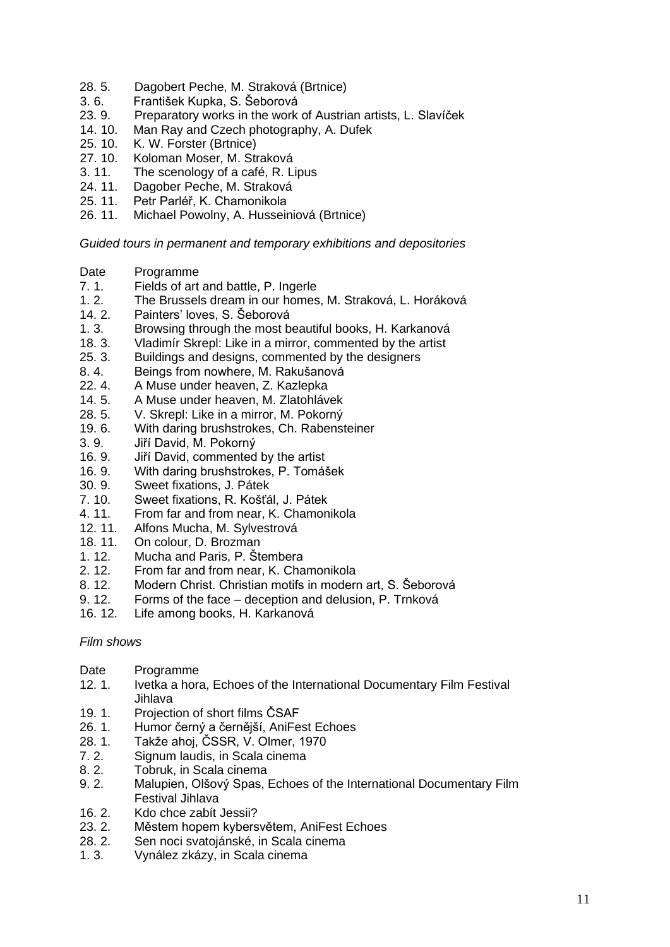- 28. 5. Dagobert Peche, M. Straková (Brtnice)
- 3. 6. František Kupka, S. Šeborová
- 23. 9. Preparatory works in the work of Austrian artists, L. Slavíček
- 14. 10. Man Ray and Czech photography, A. Dufek
- 25. 10. K. W. Forster (Brtnice)
- 27. 10. Koloman Moser, M. Straková
- 3. 11. The scenology of a café, R. Lipus
- 24. 11. Dagober Peche, M. Straková
- 25. 11. Petr Parléř, K. Chamonikola
- 26. 11. Michael Powolny, A. Husseiniová (Brtnice)

*Guided tours in permanent and temporary exhibitions and depositories*

- Date Programme
- 7. 1. Fields of art and battle, P. Ingerle
- 1. 2. The Brussels dream in our homes, M. Straková, L. Horáková<br>14. 2. Painters' loves, S. Šeborová
- Painters' loves, S. Šeborová
- 1. 3. Browsing through the most beautiful books, H. Karkanová
- 18. 3. Vladimír Skrepl: Like in a mirror, commented by the artist
- 25. 3. Buildings and designs, commented by the designers
- 8. 4. Beings from nowhere, M. Rakušanová
- 22. 4. A Muse under heaven, Z. Kazlepka
- 14. 5. A Muse under heaven, M. Zlatohlávek
- 28. 5. V. Skrepl: Like in a mirror, M. Pokorný
- 19. 6. With daring brushstrokes, Ch. Rabensteiner
- 3. 9. Jiří David, M. Pokorný
- 16. 9. Jiří David, commented by the artist
- 16. 9. With daring brushstrokes, P. Tomášek
- 30. 9. Sweet fixations, J. Pátek
- 7. 10. Sweet fixations, R. Košťál, J. Pátek
- 4. 11. From far and from near, K. Chamonikola
- 12. 11. Alfons Mucha, M. Sylvestrová
- 18. 11. On colour, D. Brozman
- 1. 12. Mucha and Paris, P. Štembera
- 2. 12. From far and from near, K. Chamonikola
- 8. 12. Modern Christ. Christian motifs in modern art, S. Šeborová
- 9. 12. Forms of the face deception and delusion, P. Trnková
- 16. 12. Life among books, H. Karkanová

## *Film shows*

- Date Programme
- 12. 1. Ivetka a hora, Echoes of the International Documentary Film Festival Jihlava
- 19. 1. Projection of short films ČSAF<br>26. 1. Humor černý a černější, AniFe
- 26. 1. Humor černý a černější, AniFest Echoes
- 28. 1. Takže ahoj, ČSSR, V. Olmer, 1970
- 7. 2. Signum laudis, in Scala cinema
- 8. 2. Tobruk, in Scala cinema
- 9. 2. Malupien, Olšový Spas, Echoes of the International Documentary Film Festival Jihlava
- 16. 2. Kdo chce zabít Jessii?
- 23. 2. Městem hopem kybersvětem, AniFest Echoes
- 28. 2. Sen noci svatojánské, in Scala cinema
- 1. 3. Vynález zkázy, in Scala cinema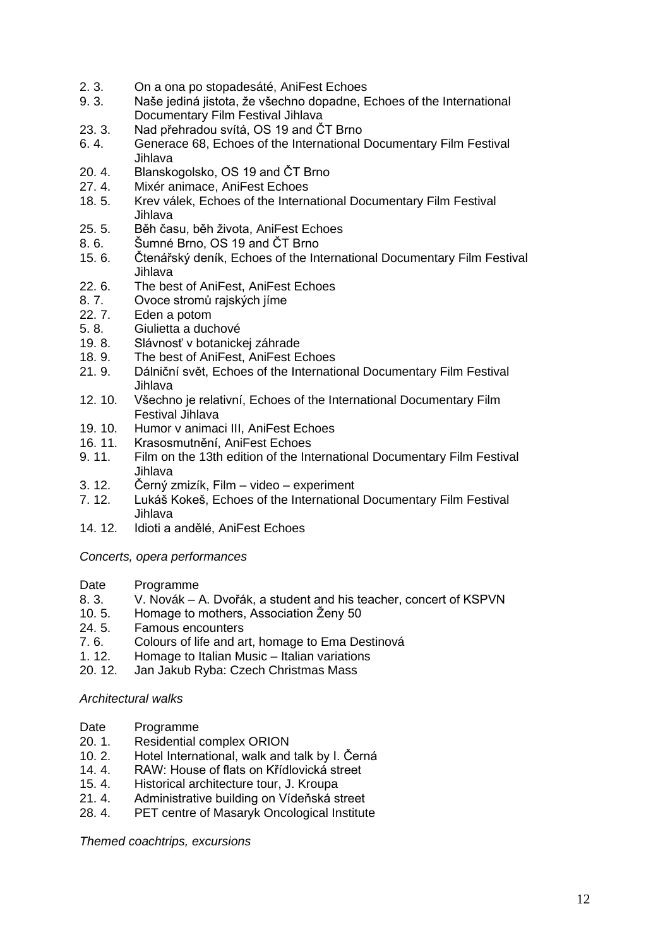- 2. 3. On a ona po stopadesáté, AniFest Echoes
- 9. 3. Naše jediná jistota, že všechno dopadne, Echoes of the International Documentary Film Festival Jihlava
- 23. 3. Nad přehradou svítá, OS 19 and ČT Brno
- 6. 4. Generace 68, Echoes of the International Documentary Film Festival Jihlava
- 20. 4. Blanskogolsko, OS 19 and ČT Brno
- 27. 4. Mixér animace, AniFest Echoes
- 18. 5. Krev válek, Echoes of the International Documentary Film Festival Jihlava
- 25. 5. Běh času, běh života, AniFest Echoes
- 8. 6. Šumné Brno, OS 19 and ČT Brno
- 15. 6. Čtenářský deník, Echoes of the International Documentary Film Festival Jihlava
- 22. 6. The best of AniFest, AniFest Echoes
- 8. 7. Ovoce stromů rajských jíme<br>22. 7. Eden a potom
- Eden a potom
- 5. 8. Giulietta a duchové
- 19. 8. Slávnosť v botanickej záhrade
- 18. 9. The best of AniFest, AniFest Echoes
- 21. 9. Dálniční svět, Echoes of the International Documentary Film Festival Jihlava
- 12. 10. Všechno je relativní, Echoes of the International Documentary Film Festival Jihlava
- 19. 10. Humor v animaci III, AniFest Echoes
- 16. 11. Krasosmutnění, AniFest Echoes
- 9. 11. Film on the 13th edition of the International Documentary Film Festival Jihlava
- 3. 12. Černý zmizík, Film video experiment
- 7. 12. Lukáš Kokeš, Echoes of the International Documentary Film Festival Jihlava
- 14. 12. Idioti a andělé, AniFest Echoes

*Concerts, opera performances* 

- Date Programme
- 8. 3. V. Novák A. Dvořák, a student and his teacher, concert of KSPVN
- 10. 5. Homage to mothers, Association Ženy 50
- 24. 5. Famous encounters
- 7. 6. Colours of life and art, homage to Ema Destinová
- 1. 12. Homage to Italian Music Italian variations
- 20. 12. Jan Jakub Ryba: Czech Christmas Mass

## *Architectural walks*

- Date Programme
- 20. 1. Residential complex ORION
- 10. 2. Hotel International, walk and talk by I. Černá
- 14. 4. RAW: House of flats on Křídlovická street
- 15. 4. Historical architecture tour, J. Kroupa
- 21. 4. Administrative building on Vídeňská street
- 28. 4. PET centre of Masaryk Oncological Institute

*Themed coachtrips, excursions*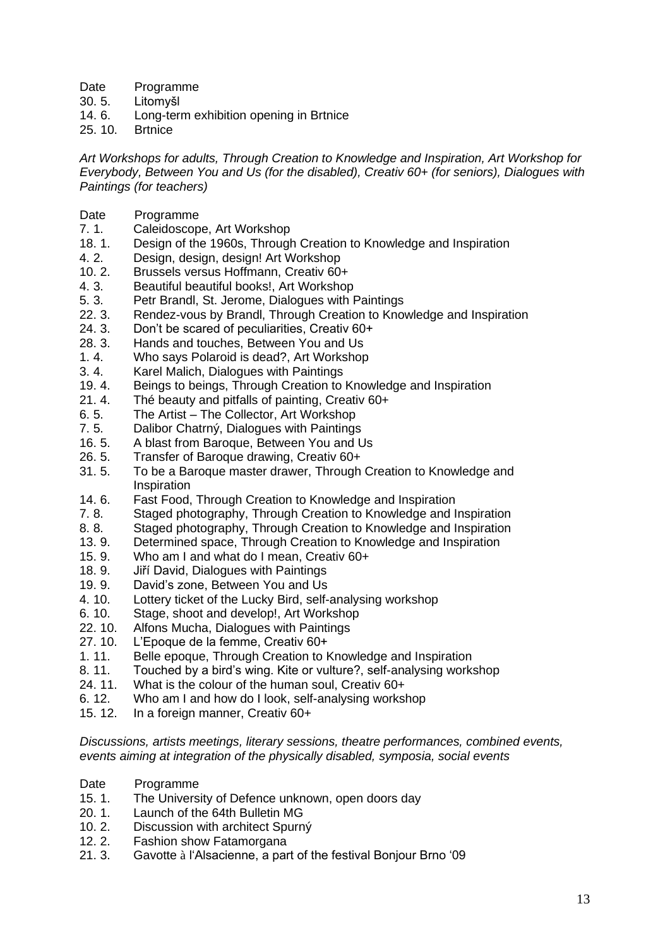- Date Programme
- 30. 5. Litomyšl
- 14. 6. Long-term exhibition opening in Brtnice
- 25. 10. Brtnice

*Art Workshops for adults, Through Creation to Knowledge and Inspiration, Art Workshop for Everybody, Between You and Us (for the disabled), Creativ 60+ (for seniors), Dialogues with Paintings (for teachers)*

- Date Programme
- 7. 1. Caleidoscope, Art Workshop
- 18. 1. Design of the 1960s, Through Creation to Knowledge and Inspiration
- 4. 2. Design, design, design! Art Workshop
- 10. 2. Brussels versus Hoffmann, Creativ 60+
- 4. 3. Beautiful beautiful books!, Art Workshop
- 5. 3. Petr Brandl, St. Jerome, Dialogues with Paintings
- Rendez-vous by Brandl. Through Creation to Knowledge and Inspiration
- 24. 3. Don't be scared of peculiarities, Creativ 60+
- 28. 3. Hands and touches, Between You and Us
- 1. 4. Who says Polaroid is dead?, Art Workshop
- 3. 4. Karel Malich, Dialogues with Paintings
- 19. 4. Beings to beings, Through Creation to Knowledge and Inspiration
- 21. 4. Thé beauty and pitfalls of painting, Creativ 60+
- 6. 5. The Artist The Collector, Art Workshop
- 7. 5. Dalibor Chatrný, Dialogues with Paintings
- 16. 5. A blast from Baroque, Between You and Us
- 26. 5. Transfer of Baroque drawing, Creativ 60+
- 31. 5. To be a Baroque master drawer, Through Creation to Knowledge and Inspiration
- 14. 6. Fast Food, Through Creation to Knowledge and Inspiration
- 7. 8. Staged photography, Through Creation to Knowledge and Inspiration
- 8. 8. Staged photography, Through Creation to Knowledge and Inspiration
- 13. 9. Determined space, Through Creation to Knowledge and Inspiration
- 15. 9. Who am I and what do I mean, Creativ 60+
- 18. 9. Jiří David, Dialogues with Paintings
- 19. 9. David's zone, Between You and Us
- 4. 10. Lottery ticket of the Lucky Bird, self-analysing workshop
- 6. 10. Stage, shoot and develop!, Art Workshop
- 22. 10. Alfons Mucha, Dialogues with Paintings
- 27. 10. L'Epoque de la femme, Creativ 60+
- 1. 11. Belle epoque, Through Creation to Knowledge and Inspiration
- 8. 11. Touched by a bird's wing. Kite or vulture?, self-analysing workshop
- 24. 11. What is the colour of the human soul, Creativ 60+
- 6. 12. Who am I and how do I look, self-analysing workshop
- 15. 12. In a foreign manner, Creativ 60+

*Discussions, artists meetings, literary sessions, theatre performances, combined events, events aiming at integration of the physically disabled, symposia, social events* 

- Date Programme
- 15. 1. The University of Defence unknown, open doors day
- 20. 1. Launch of the 64th Bulletin MG
- 10. 2. Discussion with architect Spurný
- 12. 2. Fashion show Fatamorgana
- 21. 3. Gavotte à l'Alsacienne, a part of the festival Bonjour Brno '09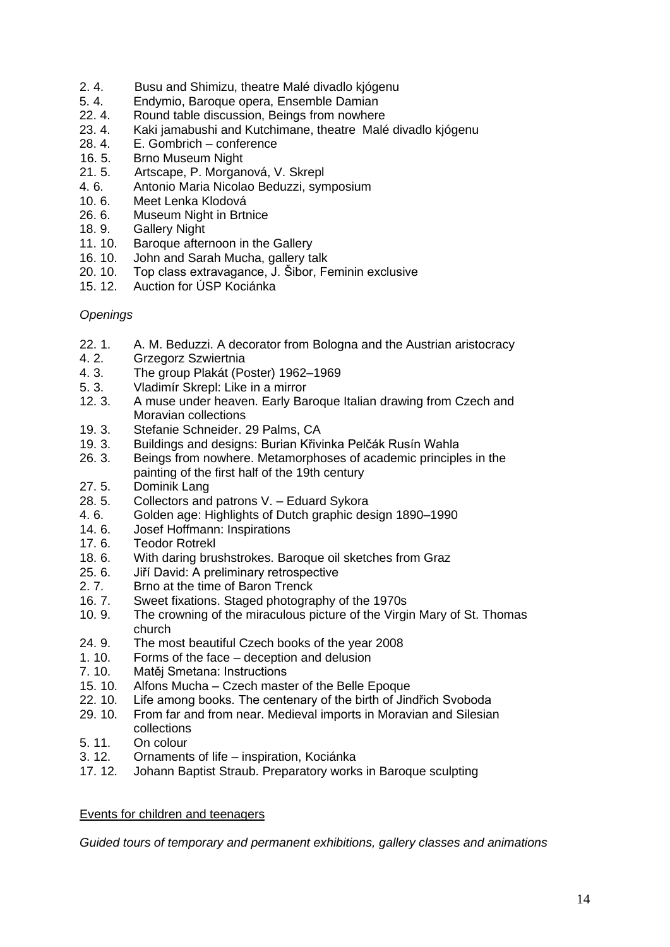- 2. 4. Busu and Shimizu, theatre Malé divadlo kjógenu
- 5. 4. Endymio, Baroque opera, Ensemble Damian
- 22. 4. Round table discussion, Beings from nowhere
- 23. 4. Kaki jamabushi and Kutchimane, theatre Malé divadlo kjógenu
- 28. 4. E. Gombrich conference
- 16. 5. Brno Museum Night
- 21. 5. Artscape, P. Morganová, V. Skrepl
- 4. 6. Antonio Maria Nicolao Beduzzi, symposium
- 10. 6. Meet Lenka Klodová
- 26. 6. Museum Night in Brtnice
- 18. 9. Gallery Night
- 11. 10. Baroque afternoon in the Gallery
- 16. 10. John and Sarah Mucha, gallery talk
- 20. 10. Top class extravagance, J. Šibor, Feminin exclusive
- 15. 12. Auction for ÚSP Kociánka

## *Openings*

- 22. 1. A. M. Beduzzi. A decorator from Bologna and the Austrian aristocracy
- 4. 2. Grzegorz Szwiertnia
- 4. 3. The group Plakát (Poster) 1962–1969
- 5. 3. Vladimír Skrepl: Like in a mirror
- 12. 3. A muse under heaven. Early Baroque Italian drawing from Czech and Moravian collections
- 19. 3. Stefanie Schneider. 29 Palms, CA
- 19. 3. Buildings and designs: Burian Křivinka Pelčák Rusín Wahla
- 26. 3. Beings from nowhere. Metamorphoses of academic principles in the painting of the first half of the 19th century
- 27. 5. Dominik Lang
- 28. 5. Collectors and patrons V. Eduard Sykora
- 4. 6. Golden age: Highlights of Dutch graphic design 1890–1990
- 14. 6. Josef Hoffmann: Inspirations
- 17. 6. Teodor Rotrekl
- 18. 6. With daring brushstrokes. Baroque oil sketches from Graz
- 25. 6. Jiří David: A preliminary retrospective
- 2. 7. Brno at the time of Baron Trenck
- 16. 7. Sweet fixations. Staged photography of the 1970s<br>10. 9. The crowning of the miraculous picture of the Virgi
- The crowning of the miraculous picture of the Virgin Mary of St. Thomas church
- 24. 9. The most beautiful Czech books of the year 2008
- 1. 10. Forms of the face deception and delusion
- 7. 10. Matěj Smetana: Instructions
- 15. 10. Alfons Mucha Czech master of the Belle Epoque
- 22. 10. Life among books. The centenary of the birth of Jindřich Svoboda
- 29. 10. From far and from near. Medieval imports in Moravian and Silesian collections
- 5. 11. On colour
- 3. 12. Ornaments of life inspiration, Kociánka
- 17. 12. Johann Baptist Straub. Preparatory works in Baroque sculpting

## Events for children and teenagers

*Guided tours of temporary and permanent exhibitions, gallery classes and animations*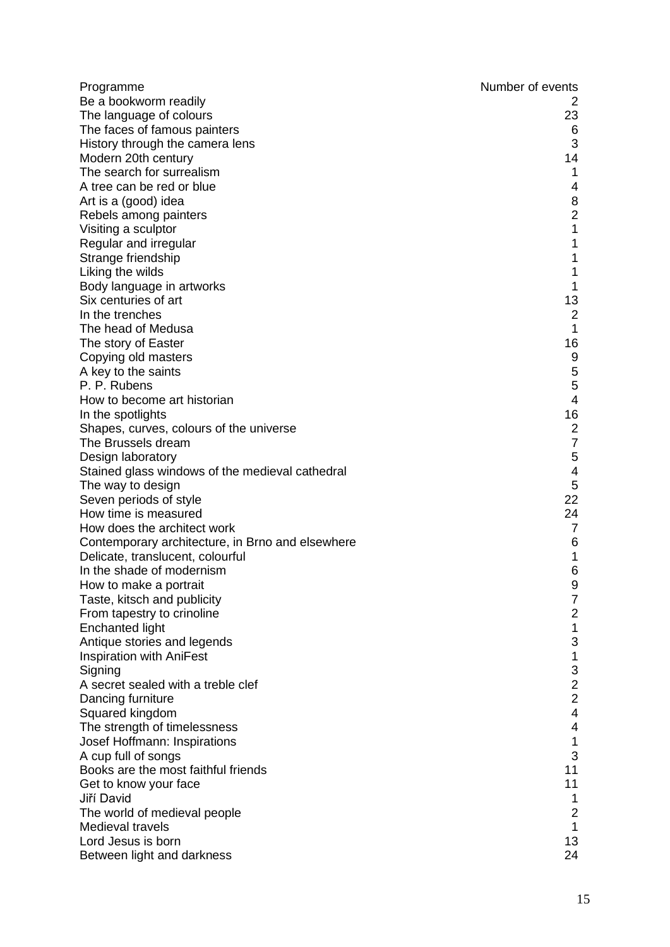| Programme                                        | Number of events                      |
|--------------------------------------------------|---------------------------------------|
| Be a bookworm readily                            | 2                                     |
| The language of colours                          | 23                                    |
| The faces of famous painters                     | 6                                     |
| History through the camera lens                  | 3                                     |
| Modern 20th century                              | 14                                    |
| The search for surrealism                        | 1                                     |
| A tree can be red or blue                        | 4                                     |
| Art is a (good) idea                             |                                       |
| Rebels among painters                            | $\begin{array}{c} 8 \\ 2 \end{array}$ |
| Visiting a sculptor                              | $\mathbf 1$                           |
| Regular and irregular                            | 1                                     |
| Strange friendship                               | 1                                     |
| Liking the wilds                                 | 1                                     |
| Body language in artworks                        | 1                                     |
| Six centuries of art                             | 13                                    |
| In the trenches                                  |                                       |
| The head of Medusa                               | $\begin{array}{c} 2 \\ 1 \end{array}$ |
| The story of Easter                              | 16                                    |
| Copying old masters                              | 9                                     |
| A key to the saints                              | 5                                     |
| P. P. Rubens                                     | 5                                     |
| How to become art historian                      | $\overline{\mathbf{4}}$               |
| In the spotlights                                | 16                                    |
| Shapes, curves, colours of the universe          | $\mathbf 2$                           |
| The Brussels dream                               | $\overline{7}$                        |
| Design laboratory                                | 5                                     |
| Stained glass windows of the medieval cathedral  | 4                                     |
| The way to design                                | $\mathbf 5$                           |
| Seven periods of style                           | 22                                    |
| How time is measured                             | 24                                    |
| How does the architect work                      | $\overline{7}$                        |
| Contemporary architecture, in Brno and elsewhere | 6                                     |
| Delicate, translucent, colourful                 | $\mathbf 1$                           |
| In the shade of modernism                        | 6                                     |
| How to make a portrait                           | 9                                     |
| Taste, kitsch and publicity                      | $\overline{7}$                        |
| From tapestry to crinoline                       | $\overline{\mathbf{c}}$               |
| <b>Enchanted light</b>                           | 1                                     |
| Antique stories and legends                      | 3                                     |
| <b>Inspiration with AniFest</b>                  | 1                                     |
| Signing                                          | 3                                     |
| A secret sealed with a treble clef               | $\overline{c}$                        |
| Dancing furniture                                | $\overline{c}$                        |
| Squared kingdom                                  | $\overline{\mathbf{4}}$               |
| The strength of timelessness                     | $\overline{\mathbf{4}}$               |
| Josef Hoffmann: Inspirations                     | 1                                     |
| A cup full of songs                              | 3                                     |
| Books are the most faithful friends              | 11                                    |
|                                                  | 11                                    |
| Get to know your face<br>Jiří David              |                                       |
|                                                  | 1<br>$\overline{2}$                   |
| The world of medieval people<br>Medieval travels | 1                                     |
| Lord Jesus is born                               | 13                                    |
|                                                  | 24                                    |
| Between light and darkness                       |                                       |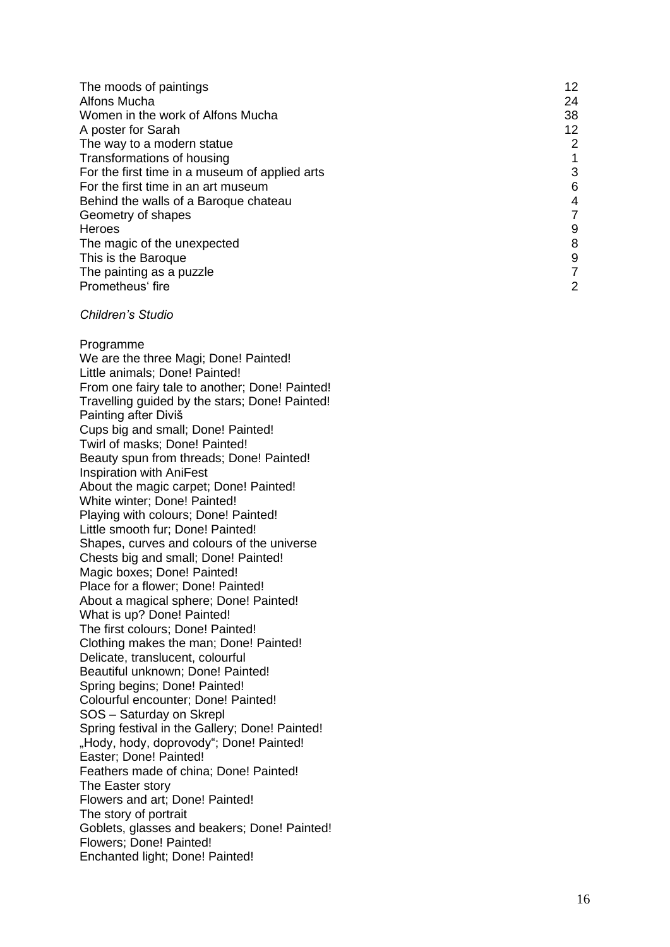| The moods of paintings                         | 12             |
|------------------------------------------------|----------------|
| Alfons Mucha                                   | 24             |
| Women in the work of Alfons Mucha              | 38             |
| A poster for Sarah                             | 12             |
| The way to a modern statue                     | $\overline{2}$ |
| Transformations of housing                     |                |
| For the first time in a museum of applied arts | 3              |
| For the first time in an art museum            | 6              |
| Behind the walls of a Baroque chateau          | 4              |
| Geometry of shapes                             |                |
| <b>Heroes</b>                                  | 9              |
| The magic of the unexpected                    | 8              |
| This is the Baroque                            | 9              |
| The painting as a puzzle                       | 7              |
| Prometheus' fire                               | 2              |

#### *Children's Studio*

Programme We are the three Magi; Done! Painted! Little animals; Done! Painted! From one fairy tale to another; Done! Painted! Travelling guided by the stars; Done! Painted! Painting after Diviš Cups big and small; Done! Painted! Twirl of masks; Done! Painted! Beauty spun from threads; Done! Painted! Inspiration with AniFest About the magic carpet; Done! Painted! White winter; Done! Painted! Playing with colours; Done! Painted! Little smooth fur; Done! Painted! Shapes, curves and colours of the universe Chests big and small; Done! Painted! Magic boxes; Done! Painted! Place for a flower; Done! Painted! About a magical sphere; Done! Painted! What is up? Done! Painted! The first colours; Done! Painted! Clothing makes the man; Done! Painted! Delicate, translucent, colourful Beautiful unknown; Done! Painted! Spring begins; Done! Painted! Colourful encounter; Done! Painted! SOS – Saturday on Skrepl Spring festival in the Gallery; Done! Painted! "Hody, hody, doprovody"; Done! Painted! Easter; Done! Painted! Feathers made of china; Done! Painted! The Easter story Flowers and art; Done! Painted! The story of portrait Goblets, glasses and beakers; Done! Painted! Flowers; Done! Painted! Enchanted light; Done! Painted!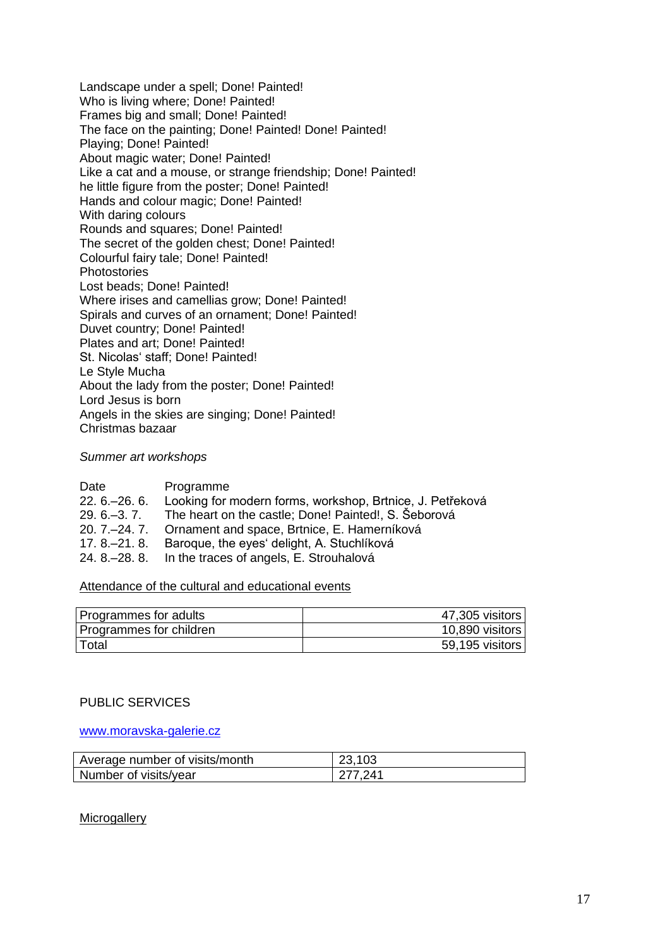Landscape under a spell; Done! Painted! Who is living where; Done! Painted! Frames big and small; Done! Painted! The face on the painting; Done! Painted! Done! Painted! Playing; Done! Painted! About magic water; Done! Painted! Like a cat and a mouse, or strange friendship; Done! Painted! he little figure from the poster; Done! Painted! Hands and colour magic; Done! Painted! With daring colours Rounds and squares; Done! Painted! The secret of the golden chest; Done! Painted! Colourful fairy tale; Done! Painted! Photostories Lost beads; Done! Painted! Where irises and camellias grow; Done! Painted! Spirals and curves of an ornament; Done! Painted! Duvet country; Done! Painted! Plates and art; Done! Painted! St. Nicolas' staff; Done! Painted! Le Style Mucha About the lady from the poster; Done! Painted! Lord Jesus is born Angels in the skies are singing; Done! Painted! Christmas bazaar

#### *Summer art workshops*

| Date           | Programme                                                 |
|----------------|-----------------------------------------------------------|
| $22.6 - 26.6$  | Looking for modern forms, workshop, Brtnice, J. Petřeková |
| $29.6 - 3.7$ . | The heart on the castle; Done! Painted!, S. Šeborová      |
|                | 20. 7.–24. 7. Ornament and space, Brtnice, E. Hamerníková |
| $17.8 - 21.8$  | Baroque, the eyes' delight, A. Stuchlíková                |
|                | 24. 8.–28. 8. In the traces of angels, E. Strouhalová     |

## Attendance of the cultural and educational events

| Programmes for adults   | 47,305 visitors |
|-------------------------|-----------------|
| Programmes for children | 10,890 visitors |
| Total                   | 59,195 visitors |

## PUBLIC SERVICES

#### [www.moravska-galerie.cz](http://www.moravska-galerie.cz/)

| Average number of visits/month | 23,103  |
|--------------------------------|---------|
| Number of visits/year          | 277 241 |

## **Microgallery**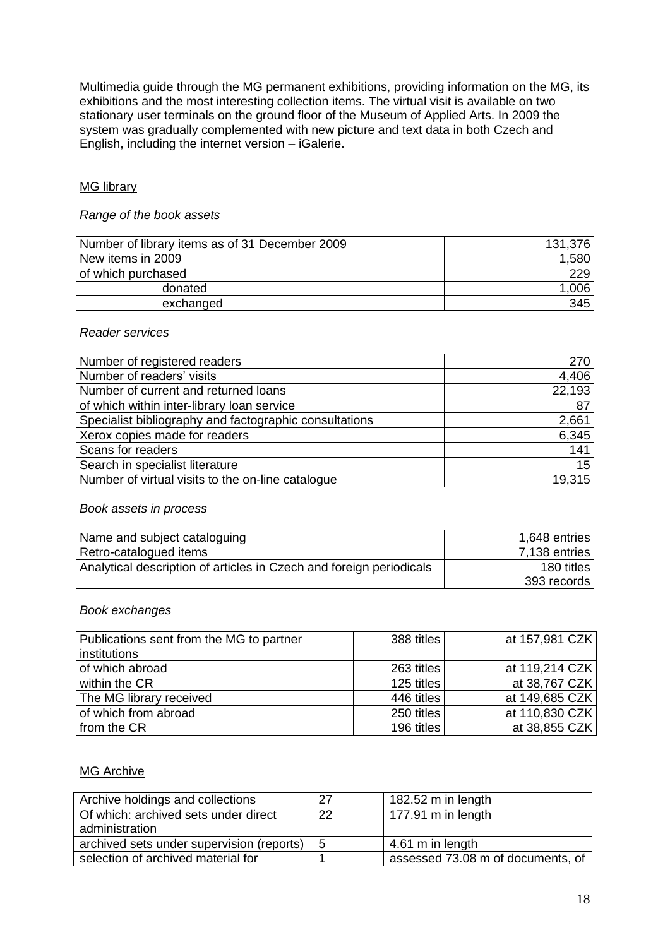Multimedia guide through the MG permanent exhibitions, providing information on the MG, its exhibitions and the most interesting collection items. The virtual visit is available on two stationary user terminals on the ground floor of the Museum of Applied Arts. In 2009 the system was gradually complemented with new picture and text data in both Czech and English, including the internet version – iGalerie.

## MG library

## *Range of the book assets*

| Number of library items as of 31 December 2009 | 131,376 |
|------------------------------------------------|---------|
| New items in 2009                              | ,580    |
| of which purchased                             | 229     |
| donated                                        | ,006    |
| exchanged                                      | 345     |

#### *Reader services*

| Number of registered readers                           | 270    |
|--------------------------------------------------------|--------|
| Number of readers' visits                              | 4,406  |
| Number of current and returned loans                   | 22,193 |
| of which within inter-library loan service             | 87     |
| Specialist bibliography and factographic consultations | 2,661  |
| Xerox copies made for readers                          | 6,345  |
| Scans for readers                                      | 141    |
| Search in specialist literature                        | 15     |
| Number of virtual visits to the on-line catalogue      | 19.315 |

#### *Book assets in process*

| Name and subject cataloguing                                        | 1,648 entries |
|---------------------------------------------------------------------|---------------|
| Retro-catalogued items                                              | 7,138 entries |
| Analytical description of articles in Czech and foreign periodicals | 180 titles    |
|                                                                     | 393 records   |

## *Book exchanges*

| Publications sent from the MG to partner | 388 titles | at 157,981 CZK |
|------------------------------------------|------------|----------------|
| institutions                             |            |                |
| of which abroad                          | 263 titles | at 119,214 CZK |
| within the CR                            | 125 titles | at 38,767 CZK  |
| The MG library received                  | 446 titles | at 149,685 CZK |
| of which from abroad                     | 250 titles | at 110,830 CZK |
| from the CR                              | 196 titles | at 38,855 CZK  |

## MG Archive

| Archive holdings and collections                       | 27 | 182.52 m in length                |
|--------------------------------------------------------|----|-----------------------------------|
| Of which: archived sets under direct<br>administration | 22 | 177.91 m in length                |
| archived sets under supervision (reports)              | 5  | 4.61 m in length                  |
| selection of archived material for                     |    | assessed 73.08 m of documents, of |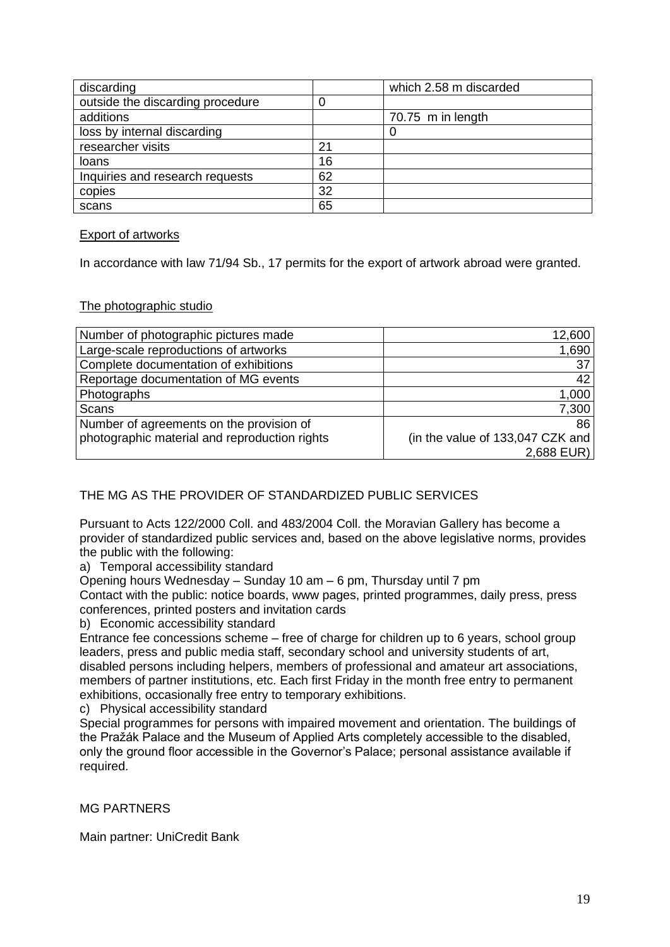| discarding                       |    | which 2.58 m discarded |
|----------------------------------|----|------------------------|
| outside the discarding procedure |    |                        |
| additions                        |    | 70.75 m in length      |
| loss by internal discarding      |    | O                      |
| researcher visits                | 21 |                        |
| loans                            | 16 |                        |
| Inquiries and research requests  | 62 |                        |
| copies                           | 32 |                        |
| scans                            | 65 |                        |

### Export of artworks

In accordance with law 71/94 Sb., 17 permits for the export of artwork abroad were granted.

#### The photographic studio

| Number of photographic pictures made          | 12,600                           |
|-----------------------------------------------|----------------------------------|
| Large-scale reproductions of artworks         | 1,690                            |
| Complete documentation of exhibitions         | 37                               |
| Reportage documentation of MG events          | 42                               |
| Photographs                                   | 1,000                            |
| <b>Scans</b>                                  | 7,300                            |
| Number of agreements on the provision of      | 86                               |
| photographic material and reproduction rights | (in the value of 133,047 CZK and |
|                                               | $2,688$ EUR)                     |

## THE MG AS THE PROVIDER OF STANDARDIZED PUBLIC SERVICES

Pursuant to Acts 122/2000 Coll. and 483/2004 Coll. the Moravian Gallery has become a provider of standardized public services and, based on the above legislative norms, provides the public with the following:

a) Temporal accessibility standard

Opening hours Wednesday – Sunday 10 am – 6 pm, Thursday until 7 pm

Contact with the public: notice boards, www pages, printed programmes, daily press, press conferences, printed posters and invitation cards

b) Economic accessibility standard

Entrance fee concessions scheme – free of charge for children up to 6 years, school group leaders, press and public media staff, secondary school and university students of art, disabled persons including helpers, members of professional and amateur art associations, members of partner institutions, etc. Each first Friday in the month free entry to permanent exhibitions, occasionally free entry to temporary exhibitions.

c) Physical accessibility standard

Special programmes for persons with impaired movement and orientation. The buildings of the Pražák Palace and the Museum of Applied Arts completely accessible to the disabled, only the ground floor accessible in the Governor's Palace; personal assistance available if required.

MG PARTNERS

Main partner: UniCredit Bank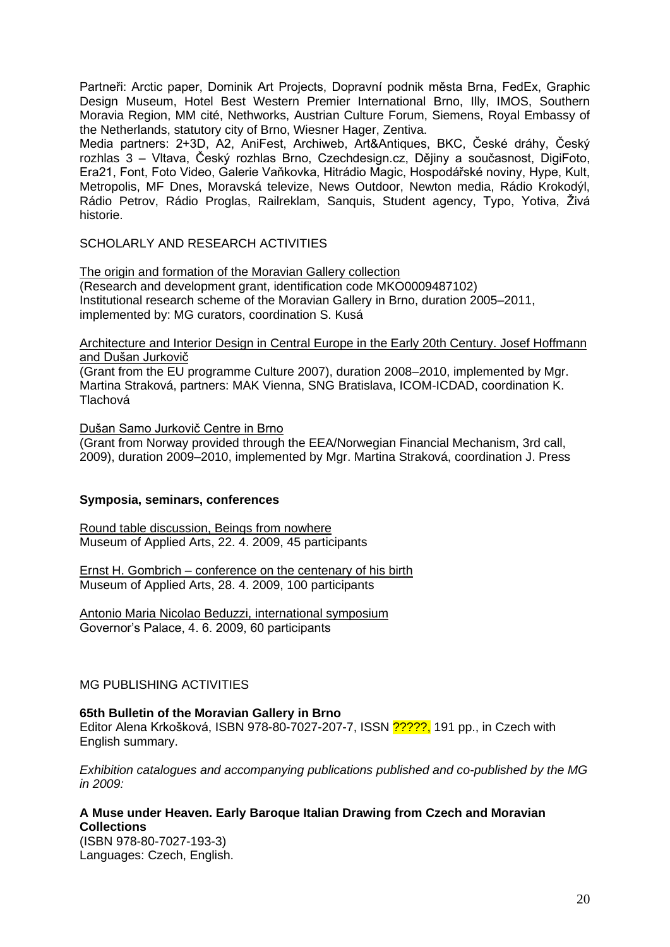Partneři: Arctic paper, Dominik Art Projects, Dopravní podnik města Brna, FedEx, Graphic Design Museum, Hotel Best Western Premier International Brno, Illy, IMOS, Southern Moravia Region, MM cité, Nethworks, Austrian Culture Forum, Siemens, Royal Embassy of the Netherlands, statutory city of Brno, Wiesner Hager, Zentiva.

Media partners: 2+3D, A2, AniFest, Archiweb, Art&Antiques, BKC, České dráhy, Český rozhlas 3 – Vltava, Český rozhlas Brno, Czechdesign.cz, Dějiny a současnost, DigiFoto, Era21, Font, Foto Video, Galerie Vaňkovka, Hitrádio Magic, Hospodářské noviny, Hype, Kult, Metropolis, MF Dnes, Moravská televize, News Outdoor, Newton media, Rádio Krokodýl, Rádio Petrov, Rádio Proglas, Railreklam, Sanquis, Student agency, Typo, Yotiva, Živá historie.

SCHOLARLY AND RESEARCH ACTIVITIES

The origin and formation of the Moravian Gallery collection (Research and development grant, identification code MKO0009487102) Institutional research scheme of the Moravian Gallery in Brno, duration 2005–2011, implemented by: MG curators, coordination S. Kusá

Architecture and Interior Design in Central Europe in the Early 20th Century. Josef Hoffmann and Dušan Jurkovič

(Grant from the EU programme Culture 2007), duration 2008–2010, implemented by Mgr. Martina Straková, partners: MAK Vienna, SNG Bratislava, ICOM-ICDAD, coordination K. Tlachová

Dušan Samo Jurkovič Centre in Brno

(Grant from Norway provided through the EEA/Norwegian Financial Mechanism, 3rd call, 2009), duration 2009–2010, implemented by Mgr. Martina Straková, coordination J. Press

## **Symposia, seminars, conferences**

Round table discussion, Beings from nowhere Museum of Applied Arts, 22. 4. 2009, 45 participants

Ernst H. Gombrich – conference on the centenary of his birth Museum of Applied Arts, 28. 4. 2009, 100 participants

Antonio Maria Nicolao Beduzzi, international symposium Governor's Palace, 4. 6. 2009, 60 participants

MG PUBLISHING ACTIVITIES

## **65th Bulletin of the Moravian Gallery in Brno**

Editor Alena Krkošková, ISBN 978-80-7027-207-7, ISSN ?????, 191 pp., in Czech with English summary.

*Exhibition catalogues and accompanying publications published and co-published by the MG in 2009:*

## **A Muse under Heaven. Early Baroque Italian Drawing from Czech and Moravian Collections**

(ISBN 978-80-7027-193-3) Languages: Czech, English.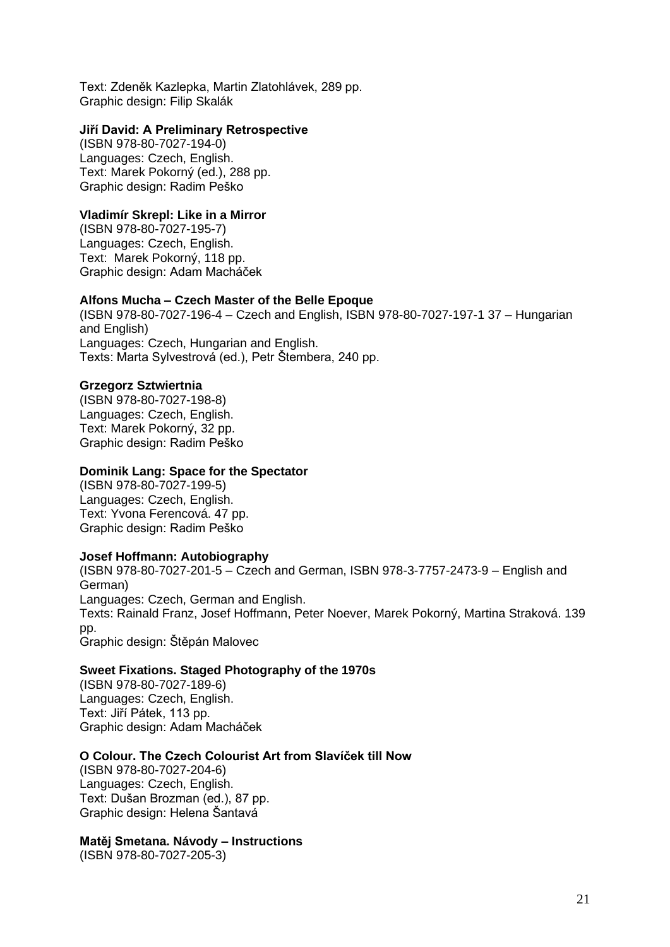Text: Zdeněk Kazlepka, Martin Zlatohlávek, 289 pp. Graphic design: Filip Skalák

### **Jiří David: A Preliminary Retrospective**

(ISBN 978-80-7027-194-0) Languages: Czech, English. Text: Marek Pokorný (ed.), 288 pp. Graphic design: Radim Peško

## **Vladimír Skrepl: Like in a Mirror**

(ISBN 978-80-7027-195-7) Languages: Czech, English. Text: Marek Pokorný, 118 pp. Graphic design: Adam Macháček

## **Alfons Mucha – Czech Master of the Belle Epoque**

(ISBN 978-80-7027-196-4 – Czech and English, ISBN 978-80-7027-197-1 37 – Hungarian and English) Languages: Czech, Hungarian and English. Texts: Marta Sylvestrová (ed.), Petr Štembera, 240 pp.

## **Grzegorz Sztwiertnia**

(ISBN 978-80-7027-198-8) Languages: Czech, English. Text: Marek Pokorný, 32 pp. Graphic design: Radim Peško

#### **Dominik Lang: Space for the Spectator**

(ISBN 978-80-7027-199-5) Languages: Czech, English. Text: Yvona Ferencová. 47 pp. Graphic design: Radim Peško

#### **Josef Hoffmann: Autobiography**

(ISBN 978-80-7027-201-5 – Czech and German, ISBN 978-3-7757-2473-9 – English and German) Languages: Czech, German and English. Texts: Rainald Franz, Josef Hoffmann, Peter Noever, Marek Pokorný, Martina Straková. 139 pp. Graphic design: Štěpán Malovec

## **Sweet Fixations. Staged Photography of the 1970s**

(ISBN 978-80-7027-189-6) Languages: Czech, English. Text: Jiří Pátek, 113 pp. Graphic design: Adam Macháček

## **O Colour. The Czech Colourist Art from Slavíček till Now**

(ISBN 978-80-7027-204-6) Languages: Czech, English. Text: Dušan Brozman (ed.), 87 pp. Graphic design: Helena Šantavá

#### **Matěj Smetana. Návody – Instructions**

(ISBN 978-80-7027-205-3)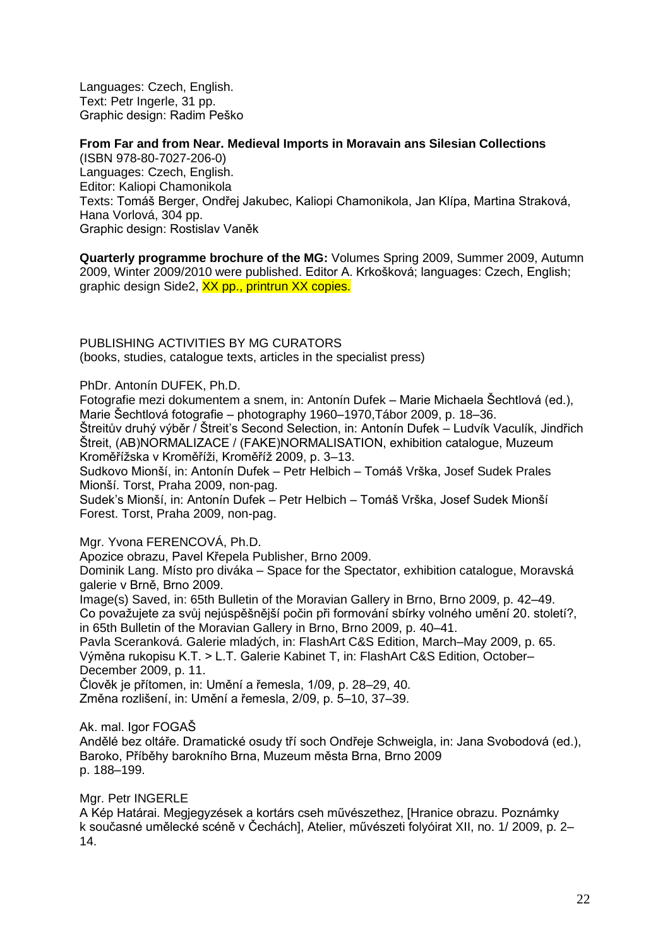Languages: Czech, English. Text: Petr Ingerle, 31 pp. Graphic design: Radim Peško

## **From Far and from Near. Medieval Imports in Moravain ans Silesian Collections**

(ISBN 978-80-7027-206-0) Languages: Czech, English. Editor: Kaliopi Chamonikola Texts: Tomáš Berger, Ondřej Jakubec, Kaliopi Chamonikola, Jan Klípa, Martina Straková, Hana Vorlová, 304 pp. Graphic design: Rostislav Vaněk

**Quarterly programme brochure of the MG:** Volumes Spring 2009, Summer 2009, Autumn 2009, Winter 2009/2010 were published. Editor A. Krkošková; languages: Czech, English; graphic design Side2, XX pp., printrun XX copies.

PUBLISHING ACTIVITIES BY MG CURATORS (books, studies, catalogue texts, articles in the specialist press)

PhDr. Antonín DUFEK, Ph.D.

Fotografie mezi dokumentem a snem, in: Antonín Dufek – Marie Michaela Šechtlová (ed.), Marie Šechtlová fotografie – photography 1960–1970,Tábor 2009, p. 18–36.

Štreitův druhý výběr / Štreit's Second Selection, in: Antonín Dufek – Ludvík Vaculík, Jindřich Štreit, (AB)NORMALIZACE / (FAKE)NORMALISATION, exhibition catalogue, Muzeum Kroměřížska v Kroměříži, Kroměříž 2009, p. 3–13.

Sudkovo Mionší, in: Antonín Dufek – Petr Helbich – Tomáš Vrška, Josef Sudek Prales Mionší. Torst, Praha 2009, non-pag.

Sudek's Mionší, in: Antonín Dufek – Petr Helbich – Tomáš Vrška, Josef Sudek Mionší Forest. Torst, Praha 2009, non-pag.

Mgr. Yvona FERENCOVÁ, Ph.D.

Apozice obrazu, Pavel Křepela Publisher, Brno 2009.

Dominik Lang. Místo pro diváka – Space for the Spectator, exhibition catalogue, Moravská galerie v Brně, Brno 2009.

Image(s) Saved, in: 65th Bulletin of the Moravian Gallery in Brno, Brno 2009, p. 42–49. Co považujete za svůj nejúspěšnější počin při formování sbírky volného umění 20. století?, in 65th Bulletin of the Moravian Gallery in Brno, Brno 2009, p. 40–41.

Pavla Sceranková. Galerie mladých, in: FlashArt C&S Edition, March–May 2009, p. 65. Výměna rukopisu K.T. > L.T. Galerie Kabinet T, in: FlashArt C&S Edition, October– December 2009, p. 11.

Člověk je přítomen, in: Umění a řemesla, 1/09, p. 28–29, 40.

Změna rozlišení, in: Umění a řemesla, 2/09, p. 5–10, 37–39.

Ak. mal. Igor FOGAŠ

Andělé bez oltáře. Dramatické osudy tří soch Ondřeje Schweigla, in: Jana Svobodová (ed.), Baroko, Příběhy barokního Brna, Muzeum města Brna, Brno 2009 p. 188–199.

Mgr. Petr INGERLE

A Kép Határai. Megjegyzések a kortárs cseh művészethez, [Hranice obrazu. Poznámky k současné umělecké scéně v Čechách], Atelier, művészeti folyóirat XII, no. 1/ 2009, p. 2– 14.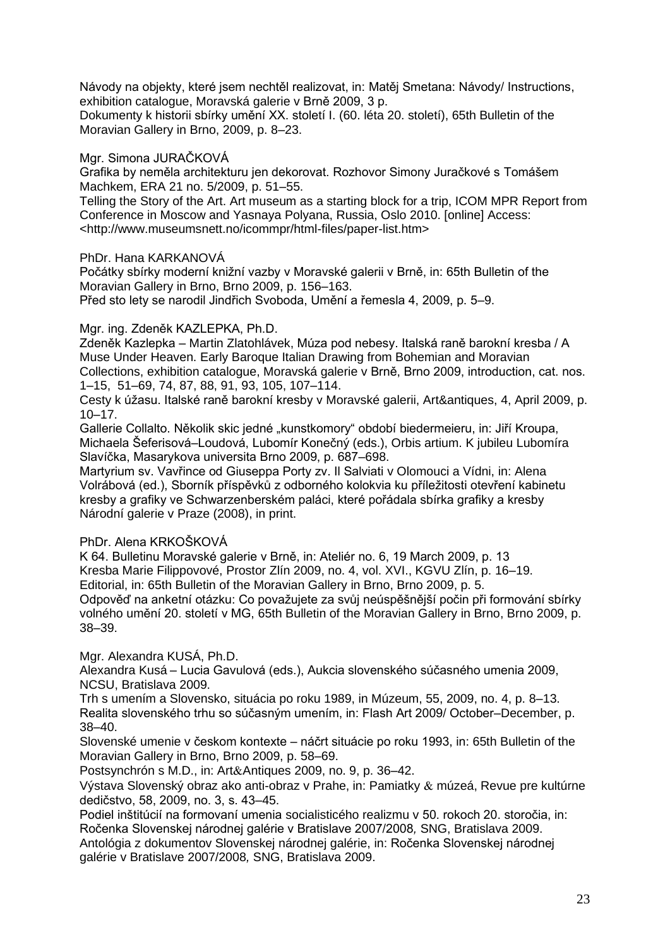Návody na objekty, které jsem nechtěl realizovat, in: Matěj Smetana: Návody/ Instructions, exhibition catalogue, Moravská galerie v Brně 2009, 3 p.

Dokumenty k historii sbírky umění XX. století I. (60. léta 20. století), 65th Bulletin of the Moravian Gallery in Brno, 2009, p. 8–23.

## Mgr. Simona JURAČKOVÁ

Grafika by neměla architekturu jen dekorovat. Rozhovor Simony Juračkové s Tomášem Machkem, ERA 21 no. 5/2009, p. 51–55.

Telling the Story of the Art. Art museum as a starting block for a trip, ICOM MPR Report from Conference in Moscow and Yasnaya Polyana, Russia, Oslo 2010. [online] Access: <http://www.museumsnett.no/icommpr/html-files/paper-list.htm>

## PhDr. Hana KARKANOVÁ

Počátky sbírky moderní knižní vazby v Moravské galerii v Brně, in: 65th Bulletin of the Moravian Gallery in Brno, Brno 2009, p. 156–163. Před sto lety se narodil Jindřich Svoboda, Umění a řemesla 4, 2009, p. 5–9.

## Mgr. ing. Zdeněk KAZLEPKA, Ph.D.

Zdeněk Kazlepka – Martin Zlatohlávek, Múza pod nebesy. Italská raně barokní kresba / A Muse Under Heaven. Early Baroque Italian Drawing from Bohemian and Moravian Collections, exhibition catalogue, Moravská galerie v Brně, Brno 2009, introduction, cat. nos. 1–15, 51–69, 74, 87, 88, 91, 93, 105, 107–114.

Cesty k úžasu. Italské raně barokní kresby v Moravské galerii, Art&antiques, 4, April 2009, p.  $10 - 17$ 

Gallerie Collalto. Několik skic jedné "kunstkomory" období biedermeieru, in: Jiří Kroupa, Michaela Šeferisová–Loudová, Lubomír Konečný (eds.), Orbis artium. K jubileu Lubomíra Slavíčka, Masarykova universita Brno 2009, p. 687–698.

Martyrium sv. Vavřince od Giuseppa Porty zv. Il Salviati v Olomouci a Vídni, in: Alena Volrábová (ed.), Sborník příspěvků z odborného kolokvia ku příležitosti otevření kabinetu kresby a grafiky ve Schwarzenberském paláci, které pořádala sbírka grafiky a kresby Národní galerie v Praze (2008), in print.

## PhDr. Alena KRKOŠKOVÁ

K 64. Bulletinu Moravské galerie v Brně, in: Ateliér no. 6, 19 March 2009, p. 13 Kresba Marie Filippovové, Prostor Zlín 2009, no. 4, vol. XVI., KGVU Zlín, p. 16–19. Editorial, in: 65th Bulletin of the Moravian Gallery in Brno, Brno 2009, p. 5.

Odpověď na anketní otázku: Co považujete za svůj neúspěšnější počin při formování sbírky volného umění 20. století v MG, 65th Bulletin of the Moravian Gallery in Brno, Brno 2009, p. 38–39.

Mgr. Alexandra KUSÁ, Ph.D.

Alexandra Kusá – Lucia Gavulová (eds.), Aukcia slovenského súčasného umenia 2009, NCSU, Bratislava 2009.

Trh s umením a Slovensko, situácia po roku 1989, in Múzeum, 55, 2009, no. 4, p. 8–13. Realita slovenského trhu so súčasným umením, in: Flash Art 2009/ October–December, p. 38–40.

Slovenské umenie v českom kontexte – náčrt situácie po roku 1993, in: 65th Bulletin of the Moravian Gallery in Brno, Brno 2009, p. 58–69.

Postsynchrón s M.D., in: Art&Antiques 2009, no. 9, p. 36–42.

Výstava Slovenský obraz ako anti-obraz v Prahe, in: Pamiatky & múzeá, Revue pre kultúrne dedičstvo, 58, 2009, no. 3, s. 43–45.

Podiel inštitúcií na formovaní umenia socialisticého realizmu v 50. rokoch 20. storočia, in: Ročenka Slovenskej národnej galérie v Bratislave 2007/2008*,* SNG, Bratislava 2009.

Antológia z dokumentov Slovenskej národnej galérie, in: Ročenka Slovenskej národnej galérie v Bratislave 2007/2008*,* SNG, Bratislava 2009.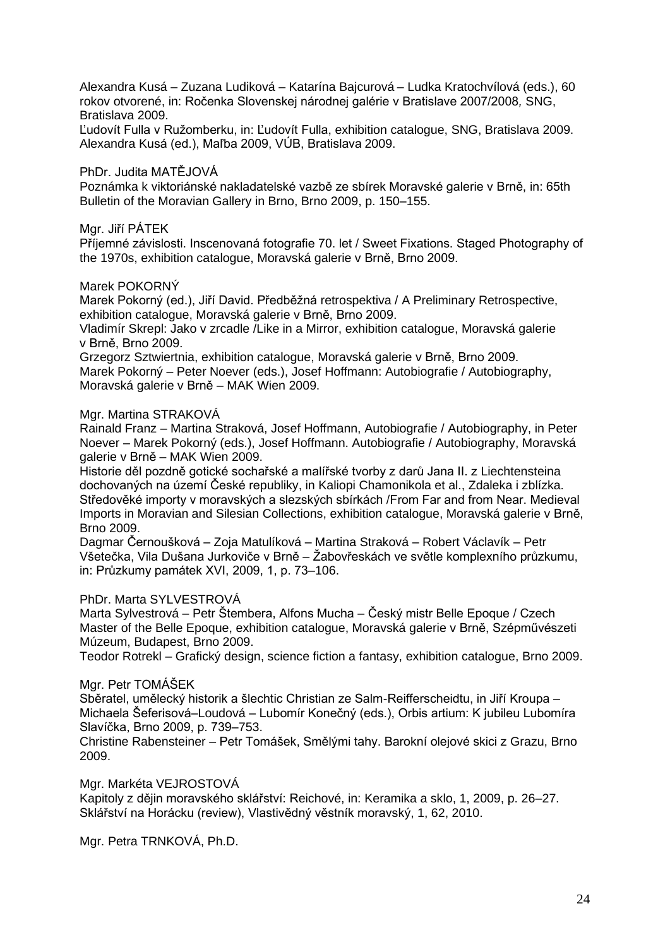Alexandra Kusá – Zuzana Ludiková – Katarína Bajcurová – Ludka Kratochvílová (eds.), 60 rokov otvorené, in: Ročenka Slovenskej národnej galérie v Bratislave 2007/2008*,* SNG, Bratislava 2009.

Ľudovít Fulla v Ružomberku, in: Ľudovít Fulla, exhibition catalogue, SNG, Bratislava 2009. Alexandra Kusá (ed.), Maľba 2009, VÚB, Bratislava 2009.

#### PhDr. Judita MATĚJOVÁ

Poznámka k viktoriánské nakladatelské vazbě ze sbírek Moravské galerie v Brně, in: 65th Bulletin of the Moravian Gallery in Brno, Brno 2009, p. 150–155.

#### Mgr. Jiří PÁTEK

Příjemné závislosti. Inscenovaná fotografie 70. let / Sweet Fixations. Staged Photography of the 1970s, exhibition catalogue, Moravská galerie v Brně, Brno 2009.

#### Marek POKORNÝ

Marek Pokorný (ed.), Jiří David. Předběžná retrospektiva / A Preliminary Retrospective, exhibition catalogue, Moravská galerie v Brně, Brno 2009.

Vladimír Skrepl: Jako v zrcadle /Like in a Mirror, exhibition catalogue, Moravská galerie v Brně, Brno 2009.

Grzegorz Sztwiertnia, exhibition catalogue, Moravská galerie v Brně, Brno 2009. Marek Pokorný – Peter Noever (eds.), Josef Hoffmann: Autobiografie / Autobiography, Moravská galerie v Brně – MAK Wien 2009.

#### Mgr. Martina STRAKOVÁ

Rainald Franz – Martina Straková, Josef Hoffmann, Autobiografie / Autobiography, in Peter Noever – Marek Pokorný (eds.), Josef Hoffmann. Autobiografie / Autobiography, Moravská galerie v Brně – MAK Wien 2009.

Historie děl pozdně gotické sochařské a malířské tvorby z darů Jana II. z Liechtensteina dochovaných na území České republiky, in Kaliopi Chamonikola et al., Zdaleka i zblízka. Středověké importy v moravských a slezských sbírkách /From Far and from Near. Medieval Imports in Moravian and Silesian Collections, exhibition catalogue, Moravská galerie v Brně, Brno 2009.

Dagmar Černoušková – Zoja Matulíková – Martina Straková – Robert Václavík – Petr Všetečka, Vila Dušana Jurkoviče v Brně – Žabovřeskách ve světle komplexního průzkumu, in: Průzkumy památek XVI, 2009, 1, p. 73–106.

#### PhDr. Marta SYLVESTROVÁ

Marta Sylvestrová – Petr Štembera, Alfons Mucha – Český mistr Belle Epoque / Czech Master of the Belle Epoque, exhibition catalogue, Moravská galerie v Brně, Szépművészeti Múzeum, Budapest, Brno 2009.

Teodor Rotrekl – Grafický design, science fiction a fantasy, exhibition catalogue, Brno 2009.

## Mgr. Petr TOMÁŠEK

Sběratel, umělecký historik a šlechtic Christian ze Salm-Reifferscheidtu, in Jiří Kroupa – Michaela Šeferisová–Loudová – Lubomír Konečný (eds.), Orbis artium: K jubileu Lubomíra Slavíčka, Brno 2009, p. 739–753.

Christine Rabensteiner – Petr Tomášek, Smělými tahy. Barokní olejové skici z Grazu, Brno 2009.

#### Mgr. Markéta VEJROSTOVÁ

Kapitoly z dějin moravského sklářství: Reichové, in: Keramika a sklo, 1, 2009, p. 26–27. Sklářství na Horácku (review), Vlastivědný věstník moravský, 1, 62, 2010.

Mgr. Petra TRNKOVÁ, Ph.D.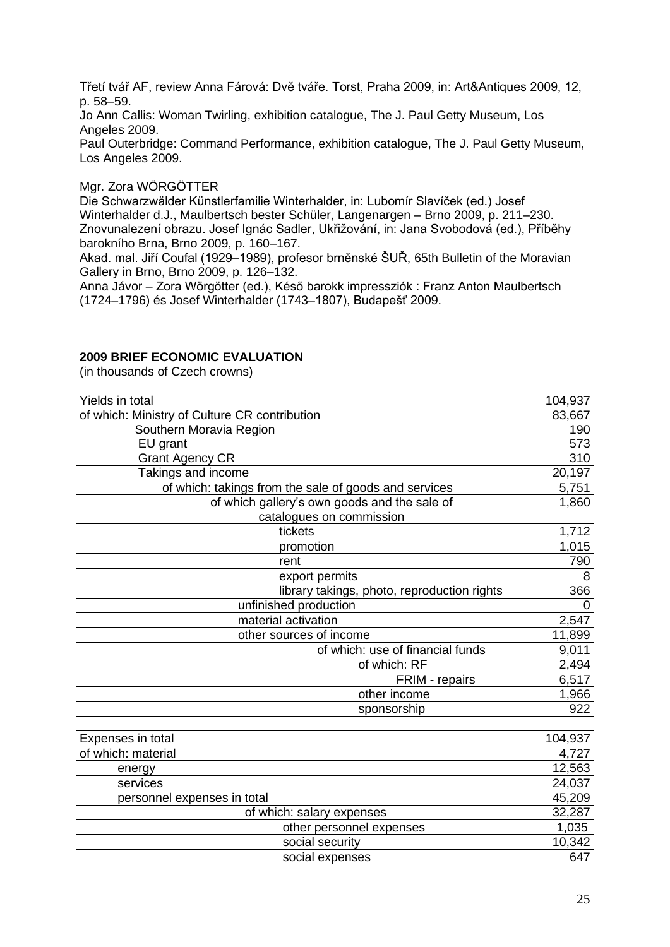Třetí tvář AF, review Anna Fárová: Dvě tváře. Torst, Praha 2009, in: Art&Antiques 2009, 12, p. 58–59.

Jo Ann Callis: Woman Twirling, exhibition catalogue, The J. Paul Getty Museum, Los Angeles 2009.

Paul Outerbridge: Command Performance, exhibition catalogue, The J. Paul Getty Museum, Los Angeles 2009.

#### Mgr. Zora WÖRGÖTTER

Die Schwarzwälder Künstlerfamilie Winterhalder, in: Lubomír Slavíček (ed.) Josef Winterhalder d.J., Maulbertsch bester Schüler, Langenargen – Brno 2009, p. 211–230. Znovunalezení obrazu. Josef Ignác Sadler, Ukřižování, in: Jana Svobodová (ed.), Příběhy barokního Brna, Brno 2009, p. 160–167.

Akad. mal. Jiří Coufal (1929–1989), profesor brněnské ŠUŘ, 65th Bulletin of the Moravian Gallery in Brno, Brno 2009, p. 126–132.

Anna Jávor – Zora Wörgötter (ed.), Késő barokk impressziók : Franz Anton Maulbertsch (1724–1796) és Josef Winterhalder (1743–1807), Budapešť 2009.

#### **2009 BRIEF ECONOMIC EVALUATION**

(in thousands of Czech crowns)

| Yields in total                                       | 104,937 |
|-------------------------------------------------------|---------|
| of which: Ministry of Culture CR contribution         | 83,667  |
| Southern Moravia Region                               | 190     |
| EU grant                                              | 573     |
| <b>Grant Agency CR</b>                                | 310     |
| Takings and income                                    | 20,197  |
| of which: takings from the sale of goods and services | 5,751   |
| of which gallery's own goods and the sale of          | 1,860   |
| catalogues on commission                              |         |
| tickets                                               | 1,712   |
| promotion                                             | 1,015   |
| rent                                                  | 790     |
| export permits                                        | 8       |
| library takings, photo, reproduction rights           | 366     |
| unfinished production                                 | 0       |
| material activation                                   | 2,547   |
| other sources of income                               | 11,899  |
| of which: use of financial funds                      | 9,011   |
| of which: RF                                          | 2,494   |
| FRIM - repairs                                        | 6,517   |
| other income                                          | 1,966   |
| sponsorship                                           | 922     |

| Expenses in total           | 104,937 |
|-----------------------------|---------|
| of which: material          | 4,727   |
| energy                      | 12,563  |
| services                    | 24,037  |
| personnel expenses in total | 45,209  |
| of which: salary expenses   | 32,287  |
| other personnel expenses    | 1,035   |
| social security             | 10,342  |
| social expenses             | 647     |